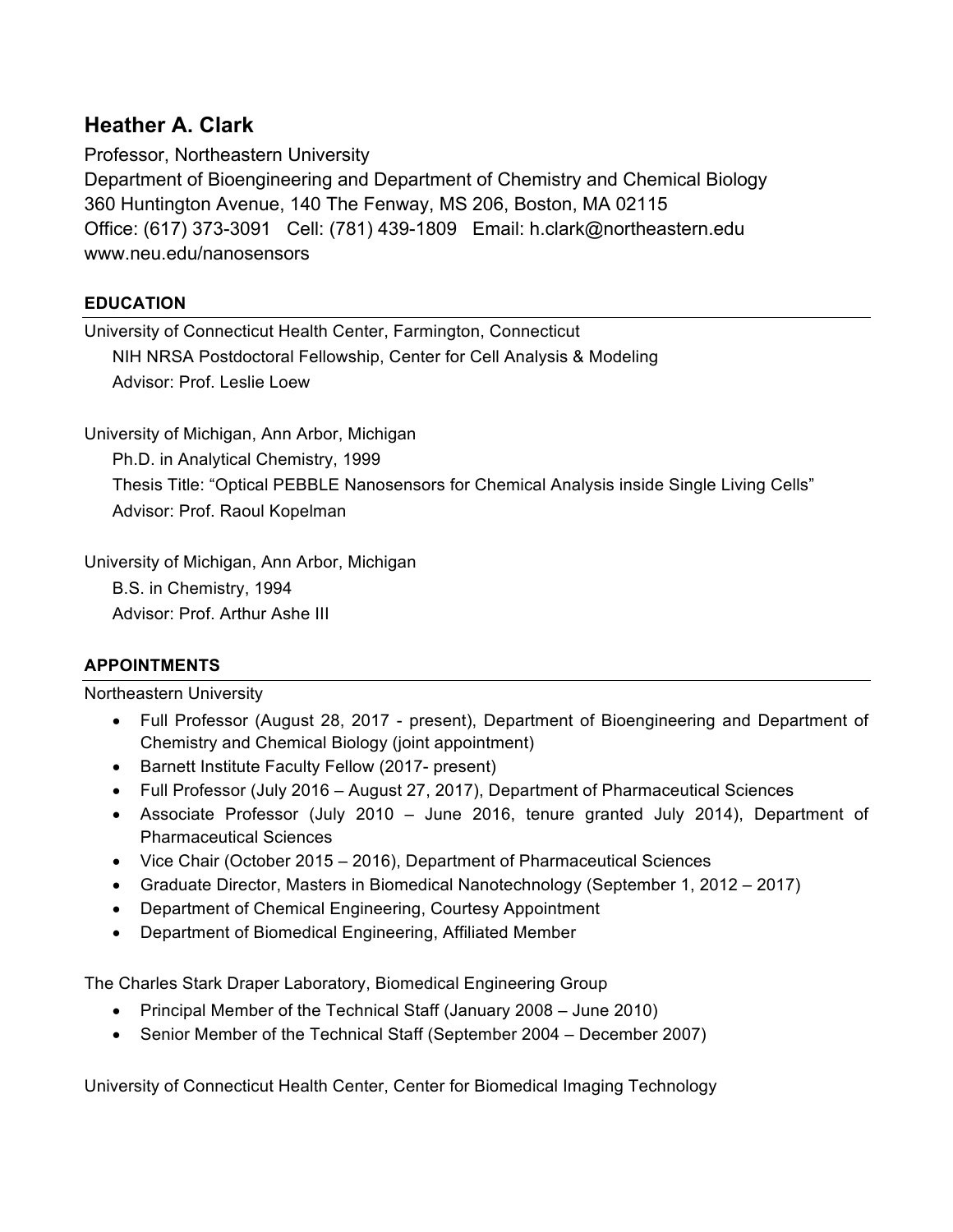# **Heather A. Clark**

Professor, Northeastern University Department of Bioengineering and Department of Chemistry and Chemical Biology 360 Huntington Avenue, 140 The Fenway, MS 206, Boston, MA 02115 Office: (617) 373-3091 Cell: (781) 439-1809 Email: h.clark@northeastern.edu www.neu.edu/nanosensors

## **EDUCATION**

University of Connecticut Health Center, Farmington, Connecticut NIH NRSA Postdoctoral Fellowship, Center for Cell Analysis & Modeling Advisor: Prof. Leslie Loew

University of Michigan, Ann Arbor, Michigan Ph.D. in Analytical Chemistry, 1999 Thesis Title: "Optical PEBBLE Nanosensors for Chemical Analysis inside Single Living Cells" Advisor: Prof. Raoul Kopelman

University of Michigan, Ann Arbor, Michigan B.S. in Chemistry, 1994 Advisor: Prof. Arthur Ashe III

## **APPOINTMENTS**

#### Northeastern University

- Full Professor (August 28, 2017 present), Department of Bioengineering and Department of Chemistry and Chemical Biology (joint appointment)
- Barnett Institute Faculty Fellow (2017- present)
- Full Professor (July 2016 August 27, 2017), Department of Pharmaceutical Sciences
- Associate Professor (July 2010 June 2016, tenure granted July 2014), Department of Pharmaceutical Sciences
- Vice Chair (October 2015 2016), Department of Pharmaceutical Sciences
- Graduate Director, Masters in Biomedical Nanotechnology (September 1, 2012 2017)
- Department of Chemical Engineering, Courtesy Appointment
- Department of Biomedical Engineering, Affiliated Member

The Charles Stark Draper Laboratory, Biomedical Engineering Group

- Principal Member of the Technical Staff (January 2008 June 2010)
- Senior Member of the Technical Staff (September 2004 December 2007)

University of Connecticut Health Center, Center for Biomedical Imaging Technology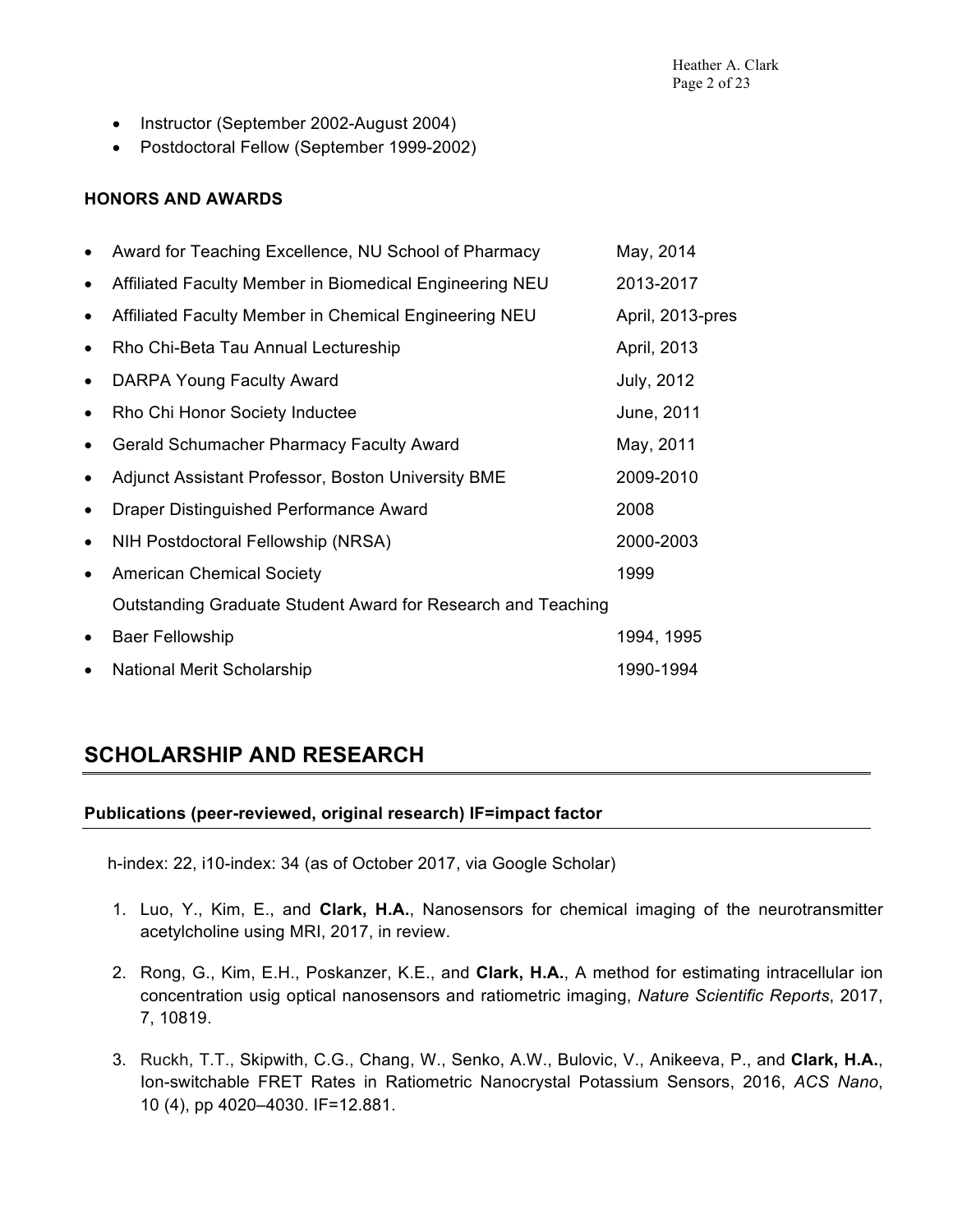- Instructor (September 2002-August 2004)
- Postdoctoral Fellow (September 1999-2002)

#### **HONORS AND AWARDS**

|           | Award for Teaching Excellence, NU School of Pharmacy         | May, 2014         |
|-----------|--------------------------------------------------------------|-------------------|
| $\bullet$ | Affiliated Faculty Member in Biomedical Engineering NEU      | 2013-2017         |
|           | Affiliated Faculty Member in Chemical Engineering NEU        | April, 2013-pres  |
| $\bullet$ | Rho Chi-Beta Tau Annual Lectureship                          | April, 2013       |
|           | DARPA Young Faculty Award                                    | <b>July, 2012</b> |
|           | Rho Chi Honor Society Inductee                               | June, 2011        |
| $\bullet$ | <b>Gerald Schumacher Pharmacy Faculty Award</b>              | May, 2011         |
| $\bullet$ | Adjunct Assistant Professor, Boston University BME           | 2009-2010         |
|           | Draper Distinguished Performance Award                       | 2008              |
| $\bullet$ | NIH Postdoctoral Fellowship (NRSA)                           | 2000-2003         |
| $\bullet$ | <b>American Chemical Society</b>                             | 1999              |
|           | Outstanding Graduate Student Award for Research and Teaching |                   |
|           | <b>Baer Fellowship</b>                                       | 1994, 1995        |
| $\bullet$ | National Merit Scholarship                                   | 1990-1994         |

# **SCHOLARSHIP AND RESEARCH**

#### **Publications (peer-reviewed, original research) IF=impact factor**

h-index: 22, i10-index: 34 (as of October 2017, via Google Scholar)

- 1. Luo, Y., Kim, E., and **Clark, H.A.**, Nanosensors for chemical imaging of the neurotransmitter acetylcholine using MRI, 2017, in review.
- 2. Rong, G., Kim, E.H., Poskanzer, K.E., and **Clark, H.A.**, A method for estimating intracellular ion concentration usig optical nanosensors and ratiometric imaging, *Nature Scientific Reports*, 2017, 7, 10819.
- 3. Ruckh, T.T., Skipwith, C.G., Chang, W., Senko, A.W., Bulovic, V., Anikeeva, P., and **Clark, H.A.**, Ion-switchable FRET Rates in Ratiometric Nanocrystal Potassium Sensors, 2016, *ACS Nano*, 10 (4), pp 4020–4030. IF=12.881.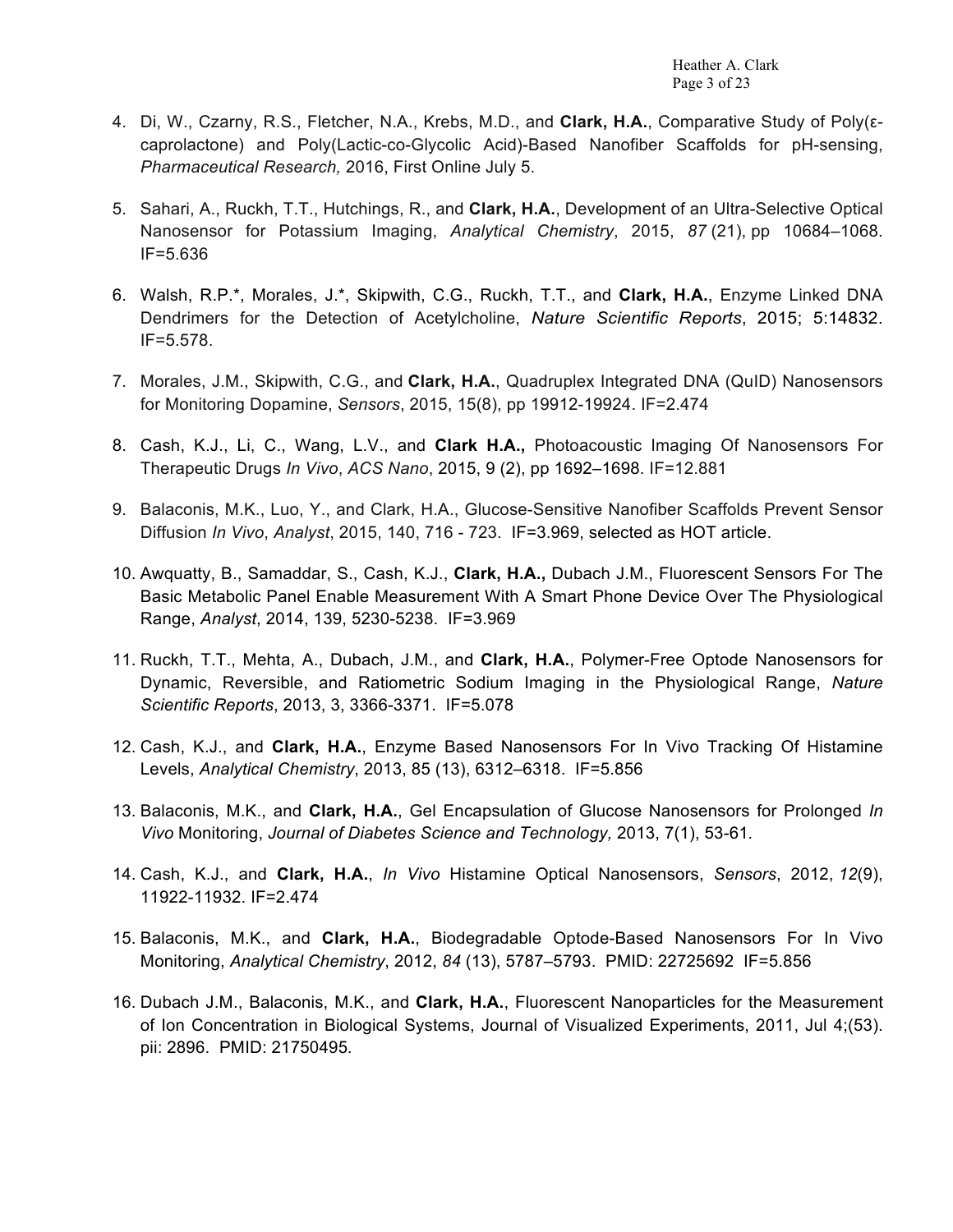- 4. Di, W., Czarny, R.S., Fletcher, N.A., Krebs, M.D., and **Clark, H.A.**, Comparative Study of Poly(εcaprolactone) and Poly(Lactic-co-Glycolic Acid)-Based Nanofiber Scaffolds for pH-sensing, *Pharmaceutical Research,* 2016, First Online July 5.
- 5. Sahari, A., Ruckh, T.T., Hutchings, R., and **Clark, H.A.**, Development of an Ultra-Selective Optical Nanosensor for Potassium Imaging, *Analytical Chemistry*, 2015, *87* (21), pp 10684–1068. IF=5.636
- 6. Walsh, R.P.\*, Morales, J.\*, Skipwith, C.G., Ruckh, T.T., and **Clark, H.A.**, Enzyme Linked DNA Dendrimers for the Detection of Acetylcholine, *Nature Scientific Reports*, 2015; 5:14832. IF=5.578.
- 7. Morales, J.M., Skipwith, C.G., and **Clark, H.A.**, Quadruplex Integrated DNA (QuID) Nanosensors for Monitoring Dopamine, *Sensors*, 2015, 15(8), pp 19912-19924. IF=2.474
- 8. Cash, K.J., Li, C., Wang, L.V., and **Clark H.A.,** Photoacoustic Imaging Of Nanosensors For Therapeutic Drugs *In Vivo*, *ACS Nano*, 2015, 9 (2), pp 1692–1698. IF=12.881
- 9. Balaconis, M.K., Luo, Y., and Clark, H.A., Glucose-Sensitive Nanofiber Scaffolds Prevent Sensor Diffusion *In Vivo*, *Analyst*, 2015, 140, 716 - 723. IF=3.969, selected as HOT article.
- 10. Awquatty, B., Samaddar, S., Cash, K.J., **Clark, H.A.,** Dubach J.M., Fluorescent Sensors For The Basic Metabolic Panel Enable Measurement With A Smart Phone Device Over The Physiological Range, *Analyst*, 2014, 139, 5230-5238. IF=3.969
- 11. Ruckh, T.T., Mehta, A., Dubach, J.M., and **Clark, H.A.**, Polymer-Free Optode Nanosensors for Dynamic, Reversible, and Ratiometric Sodium Imaging in the Physiological Range, *Nature Scientific Reports*, 2013, 3, 3366-3371. IF=5.078
- 12. Cash, K.J., and **Clark, H.A.**, Enzyme Based Nanosensors For In Vivo Tracking Of Histamine Levels, *Analytical Chemistry*, 2013, 85 (13), 6312–6318. IF=5.856
- 13. Balaconis, M.K., and **Clark, H.A.**, Gel Encapsulation of Glucose Nanosensors for Prolonged *In Vivo* Monitoring, *Journal of Diabetes Science and Technology,* 2013, 7(1), 53-61*.*
- 14. Cash, K.J., and **Clark, H.A.**, *In Vivo* Histamine Optical Nanosensors, *Sensors*, 2012, *12*(9), 11922-11932. IF=2.474
- 15. Balaconis, M.K., and **Clark, H.A.**, Biodegradable Optode-Based Nanosensors For In Vivo Monitoring, *Analytical Chemistry*, 2012, *84* (13), 5787–5793. PMID: 22725692 IF=5.856
- 16. Dubach J.M., Balaconis, M.K., and **Clark, H.A.**, Fluorescent Nanoparticles for the Measurement of Ion Concentration in Biological Systems, Journal of Visualized Experiments, 2011, Jul 4;(53). pii: 2896. PMID: 21750495*.*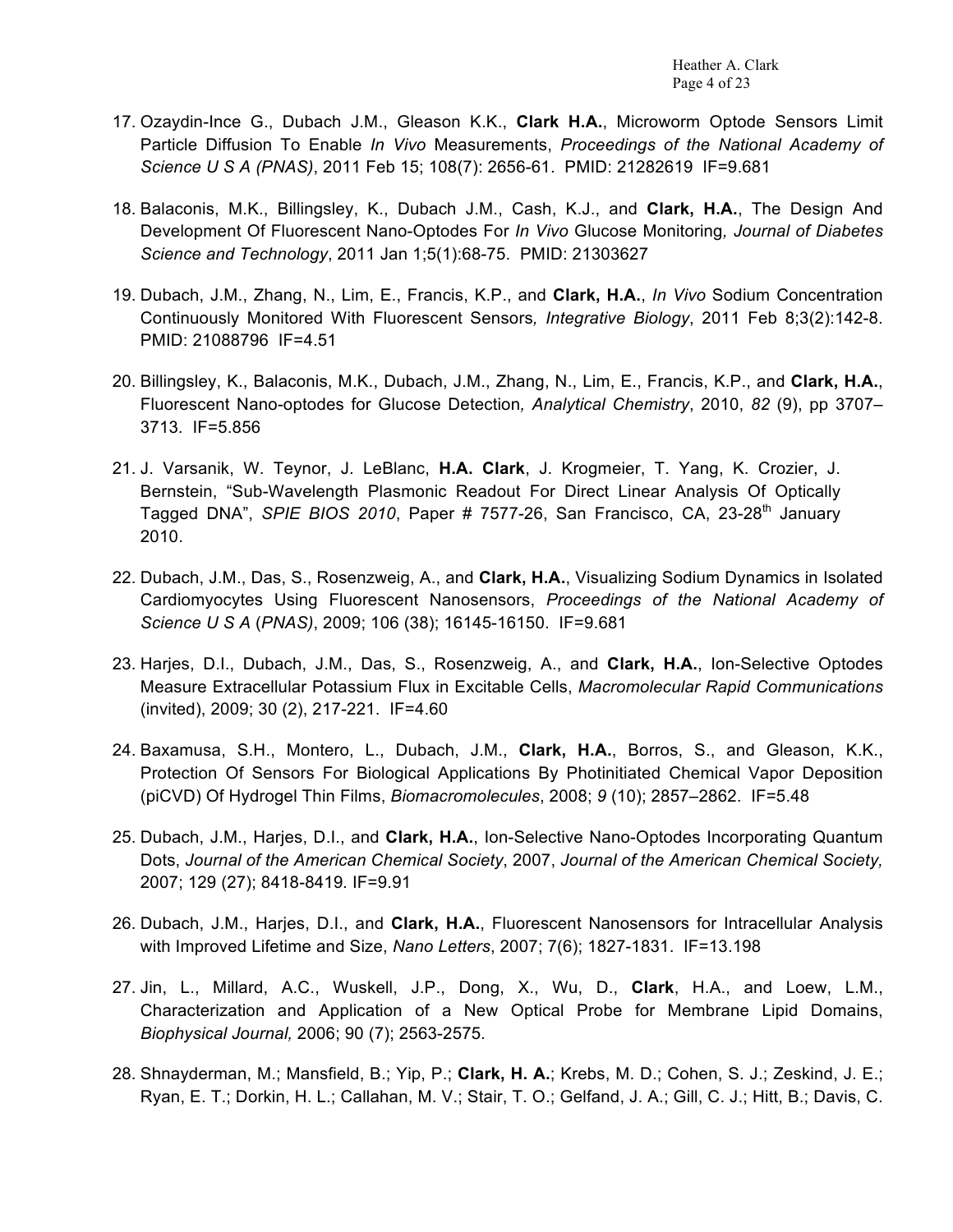- 17. Ozaydin-Ince G., Dubach J.M., Gleason K.K., **Clark H.A.**, Microworm Optode Sensors Limit Particle Diffusion To Enable *In Vivo* Measurements, *Proceedings of the National Academy of Science U S A (PNAS)*, 2011 Feb 15; 108(7): 2656-61. PMID: 21282619 IF=9.681
- 18. Balaconis, M.K., Billingsley, K., Dubach J.M., Cash, K.J., and **Clark, H.A.**, The Design And Development Of Fluorescent Nano-Optodes For *In Vivo* Glucose Monitoring*, Journal of Diabetes Science and Technology*, 2011 Jan 1;5(1):68-75. PMID: 21303627
- 19. Dubach, J.M., Zhang, N., Lim, E., Francis, K.P., and **Clark, H.A.**, *In Vivo* Sodium Concentration Continuously Monitored With Fluorescent Sensors*, Integrative Biology*, 2011 Feb 8;3(2):142-8. PMID: 21088796 IF=4.51
- 20. Billingsley, K., Balaconis, M.K., Dubach, J.M., Zhang, N., Lim, E., Francis, K.P., and **Clark, H.A.**, Fluorescent Nano-optodes for Glucose Detection*, Analytical Chemistry*, 2010, *82* (9), pp 3707– 3713*.* IF=5.856
- 21. J. Varsanik, W. Teynor, J. LeBlanc, **H.A. Clark**, J. Krogmeier, T. Yang, K. Crozier, J. Bernstein, "Sub-Wavelength Plasmonic Readout For Direct Linear Analysis Of Optically Tagged DNA", *SPIE BIOS 2010*, Paper # 7577-26, San Francisco, CA, 23-28<sup>th</sup> Januarv 2010.
- 22. Dubach, J.M., Das, S., Rosenzweig, A., and **Clark, H.A.**, Visualizing Sodium Dynamics in Isolated Cardiomyocytes Using Fluorescent Nanosensors, *Proceedings of the National Academy of Science U S A* (*PNAS)*, 2009; 106 (38); 16145-16150. IF=9.681
- 23. Harjes, D.I., Dubach, J.M., Das, S., Rosenzweig, A., and **Clark, H.A.**, Ion-Selective Optodes Measure Extracellular Potassium Flux in Excitable Cells, *Macromolecular Rapid Communications*  (invited), 2009; 30 (2), 217-221. IF=4.60
- 24. Baxamusa, S.H., Montero, L., Dubach, J.M., **Clark, H.A.**, Borros, S., and Gleason, K.K., Protection Of Sensors For Biological Applications By Photinitiated Chemical Vapor Deposition (piCVD) Of Hydrogel Thin Films, *Biomacromolecules*, 2008; *9* (10); 2857–2862. IF=5.48
- 25. Dubach, J.M., Harjes, D.I., and **Clark, H.A.**, Ion-Selective Nano-Optodes Incorporating Quantum Dots, *Journal of the American Chemical Society*, 2007, *Journal of the American Chemical Society,*  2007; 129 (27); 8418-8419*.* IF=9.91
- 26. Dubach, J.M., Harjes, D.I., and **Clark, H.A.**, Fluorescent Nanosensors for Intracellular Analysis with Improved Lifetime and Size, *Nano Letters*, 2007; 7(6); 1827-1831. IF=13.198
- 27. Jin, L., Millard, A.C., Wuskell, J.P., Dong, X., Wu, D., **Clark**, H.A., and Loew, L.M., Characterization and Application of a New Optical Probe for Membrane Lipid Domains, *Biophysical Journal,* 2006; 90 (7); 2563-2575*.*
- 28. Shnayderman, M.; Mansfield, B.; Yip, P.; **Clark, H. A.**; Krebs, M. D.; Cohen, S. J.; Zeskind, J. E.; Ryan, E. T.; Dorkin, H. L.; Callahan, M. V.; Stair, T. O.; Gelfand, J. A.; Gill, C. J.; Hitt, B.; Davis, C.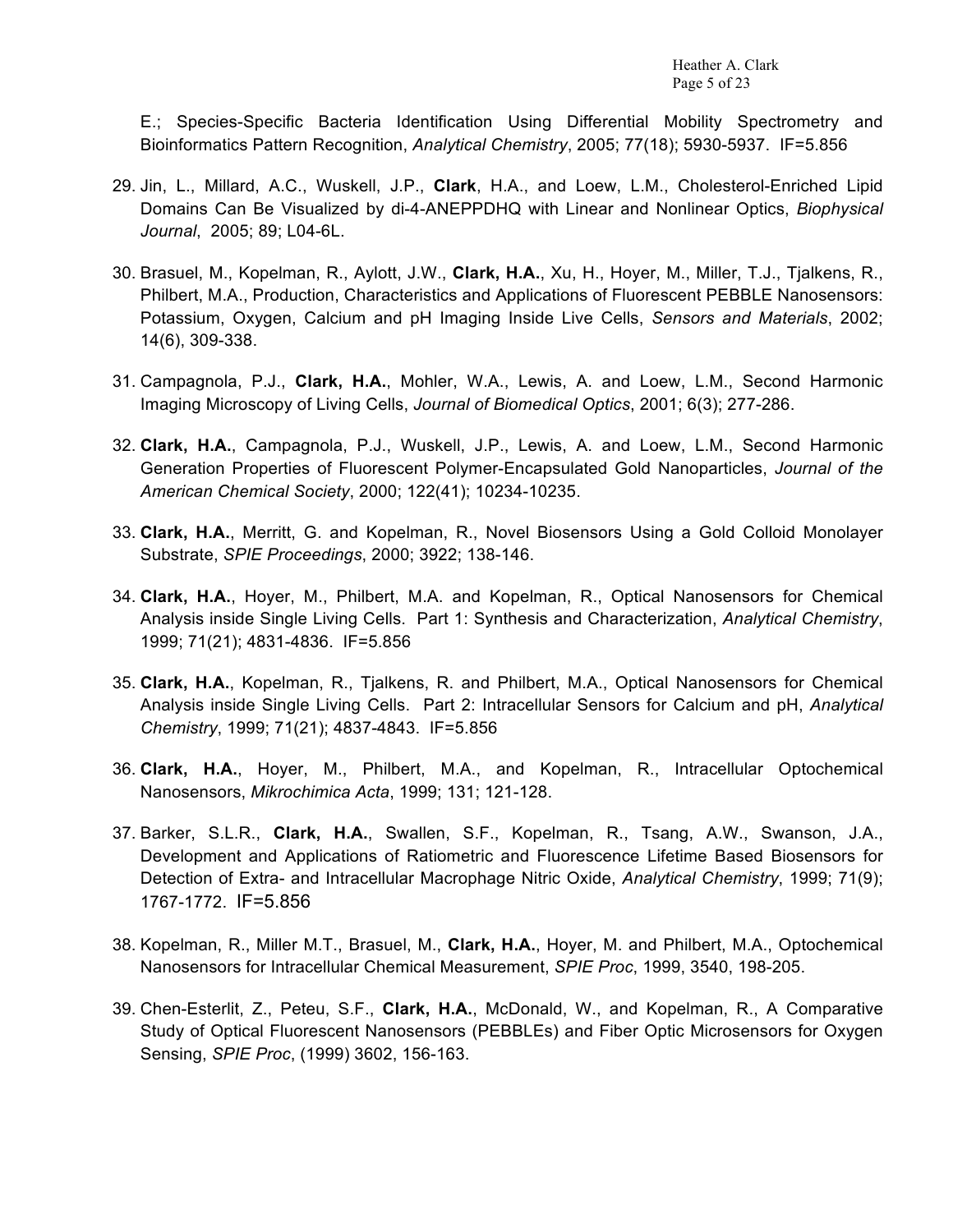E.; Species-Specific Bacteria Identification Using Differential Mobility Spectrometry and Bioinformatics Pattern Recognition, *Analytical Chemistry*, 2005; 77(18); 5930-5937. IF=5.856

- 29. Jin, L., Millard, A.C., Wuskell, J.P., **Clark**, H.A., and Loew, L.M., Cholesterol-Enriched Lipid Domains Can Be Visualized by di-4-ANEPPDHQ with Linear and Nonlinear Optics, *Biophysical Journal*, 2005; 89; L04-6L.
- 30. Brasuel, M., Kopelman, R., Aylott, J.W., **Clark, H.A.**, Xu, H., Hoyer, M., Miller, T.J., Tjalkens, R., Philbert, M.A., Production, Characteristics and Applications of Fluorescent PEBBLE Nanosensors: Potassium, Oxygen, Calcium and pH Imaging Inside Live Cells, *Sensors and Materials*, 2002; 14(6), 309-338.
- 31. Campagnola, P.J., **Clark, H.A.**, Mohler, W.A., Lewis, A. and Loew, L.M., Second Harmonic Imaging Microscopy of Living Cells, *Journal of Biomedical Optics*, 2001; 6(3); 277-286.
- 32. **Clark, H.A.**, Campagnola, P.J., Wuskell, J.P., Lewis, A. and Loew, L.M., Second Harmonic Generation Properties of Fluorescent Polymer-Encapsulated Gold Nanoparticles, *Journal of the American Chemical Society*, 2000; 122(41); 10234-10235.
- 33. **Clark, H.A.**, Merritt, G. and Kopelman, R., Novel Biosensors Using a Gold Colloid Monolayer Substrate, *SPIE Proceedings*, 2000; 3922; 138-146.
- 34. **Clark, H.A.**, Hoyer, M., Philbert, M.A. and Kopelman, R., Optical Nanosensors for Chemical Analysis inside Single Living Cells. Part 1: Synthesis and Characterization, *Analytical Chemistry*, 1999; 71(21); 4831-4836. IF=5.856
- 35. **Clark, H.A.**, Kopelman, R., Tjalkens, R. and Philbert, M.A., Optical Nanosensors for Chemical Analysis inside Single Living Cells. Part 2: Intracellular Sensors for Calcium and pH, *Analytical Chemistry*, 1999; 71(21); 4837-4843. IF=5.856
- 36. **Clark, H.A.**, Hoyer, M., Philbert, M.A., and Kopelman, R., Intracellular Optochemical Nanosensors, *Mikrochimica Acta*, 1999; 131; 121-128.
- 37. Barker, S.L.R., **Clark, H.A.**, Swallen, S.F., Kopelman, R., Tsang, A.W., Swanson, J.A., Development and Applications of Ratiometric and Fluorescence Lifetime Based Biosensors for Detection of Extra- and Intracellular Macrophage Nitric Oxide, *Analytical Chemistry*, 1999; 71(9); 1767-1772. IF=5.856
- 38. Kopelman, R., Miller M.T., Brasuel, M., **Clark, H.A.**, Hoyer, M. and Philbert, M.A., Optochemical Nanosensors for Intracellular Chemical Measurement, *SPIE Proc*, 1999, 3540, 198-205.
- 39. Chen-Esterlit, Z., Peteu, S.F., **Clark, H.A.**, McDonald, W., and Kopelman, R., A Comparative Study of Optical Fluorescent Nanosensors (PEBBLEs) and Fiber Optic Microsensors for Oxygen Sensing, *SPIE Proc*, (1999) 3602, 156-163.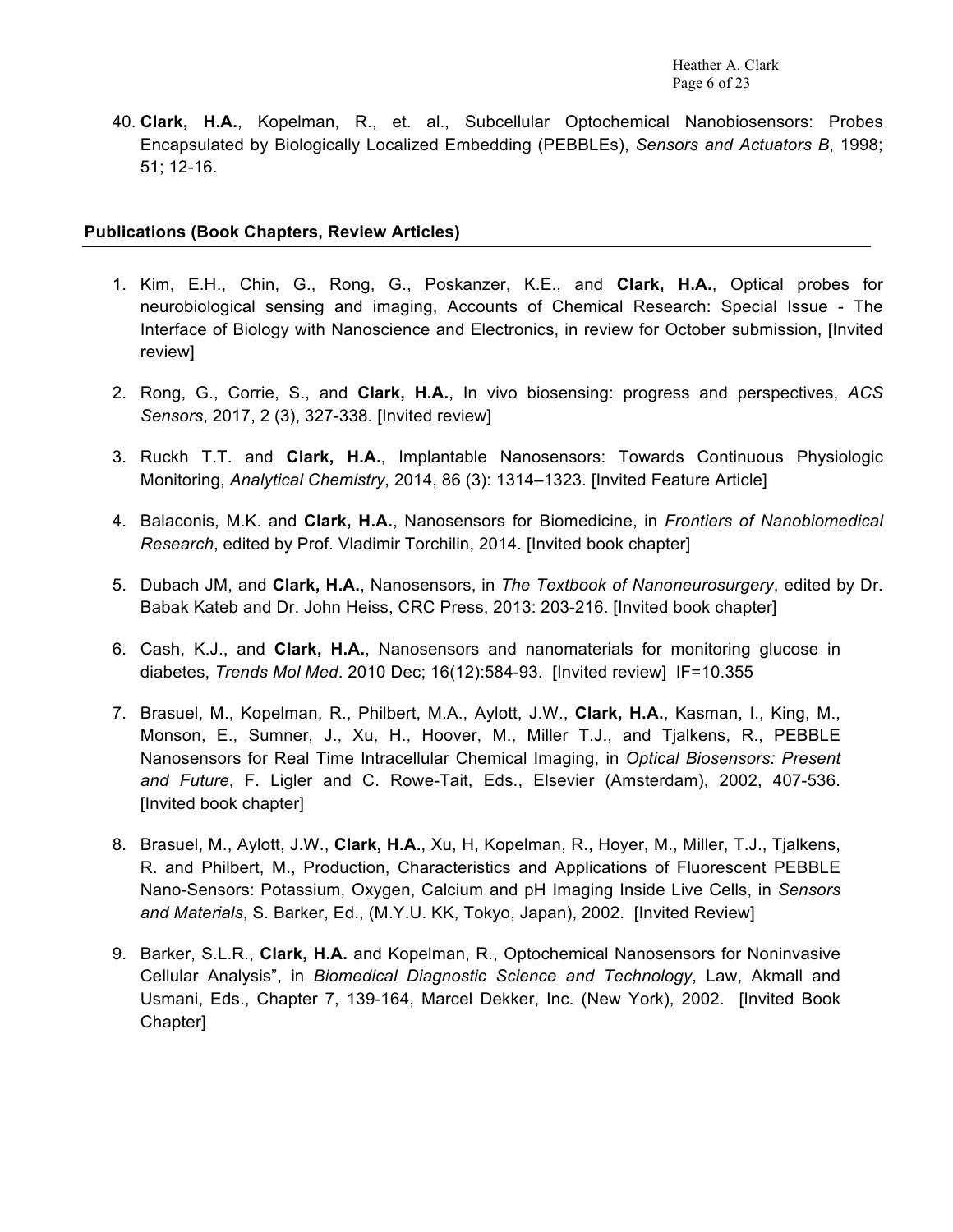40. **Clark, H.A.**, Kopelman, R., et. al., Subcellular Optochemical Nanobiosensors: Probes Encapsulated by Biologically Localized Embedding (PEBBLEs), *Sensors and Actuators B*, 1998; 51; 12-16.

#### **Publications (Book Chapters, Review Articles)**

- 1. Kim, E.H., Chin, G., Rong, G., Poskanzer, K.E., and **Clark, H.A.**, Optical probes for neurobiological sensing and imaging, Accounts of Chemical Research: Special Issue - The Interface of Biology with Nanoscience and Electronics, in review for October submission, [Invited review]
- 2. Rong, G., Corrie, S., and **Clark, H.A.**, In vivo biosensing: progress and perspectives, *ACS Sensors*, 2017, 2 (3), 327-338. [Invited review]
- 3. Ruckh T.T. and **Clark, H.A.**, Implantable Nanosensors: Towards Continuous Physiologic Monitoring, *Analytical Chemistry*, 2014, 86 (3): 1314–1323. [Invited Feature Article]
- 4. Balaconis, M.K. and **Clark, H.A.**, Nanosensors for Biomedicine, in *Frontiers of Nanobiomedical Research*, edited by Prof. Vladimir Torchilin, 2014. [Invited book chapter]
- 5. Dubach JM, and **Clark, H.A.**, Nanosensors, in *The Textbook of Nanoneurosurgery*, edited by Dr. Babak Kateb and Dr. John Heiss, CRC Press, 2013: 203-216. [Invited book chapter]
- 6. Cash, K.J., and **Clark, H.A.**, Nanosensors and nanomaterials for monitoring glucose in diabetes, *Trends Mol Med*. 2010 Dec; 16(12):584-93. [Invited review] IF=10.355
- 7. Brasuel, M., Kopelman, R., Philbert, M.A., Aylott, J.W., **Clark, H.A.**, Kasman, I., King, M., Monson, E., Sumner, J., Xu, H., Hoover, M., Miller T.J., and Tjalkens, R., PEBBLE Nanosensors for Real Time Intracellular Chemical Imaging, in *Optical Biosensors: Present and Future*, F. Ligler and C. Rowe-Tait, Eds., Elsevier (Amsterdam), 2002, 407-536. [Invited book chapter]
- 8. Brasuel, M., Aylott, J.W., **Clark, H.A.**, Xu, H, Kopelman, R., Hoyer, M., Miller, T.J., Tjalkens, R. and Philbert, M., Production, Characteristics and Applications of Fluorescent PEBBLE Nano-Sensors: Potassium, Oxygen, Calcium and pH Imaging Inside Live Cells, in *Sensors and Materials*, S. Barker, Ed., (M.Y.U. KK, Tokyo, Japan), 2002. [Invited Review]
- 9. Barker, S.L.R., **Clark, H.A.** and Kopelman, R., Optochemical Nanosensors for Noninvasive Cellular Analysis", in *Biomedical Diagnostic Science and Technology*, Law, Akmall and Usmani, Eds., Chapter 7, 139-164, Marcel Dekker, Inc. (New York), 2002. [Invited Book Chapter]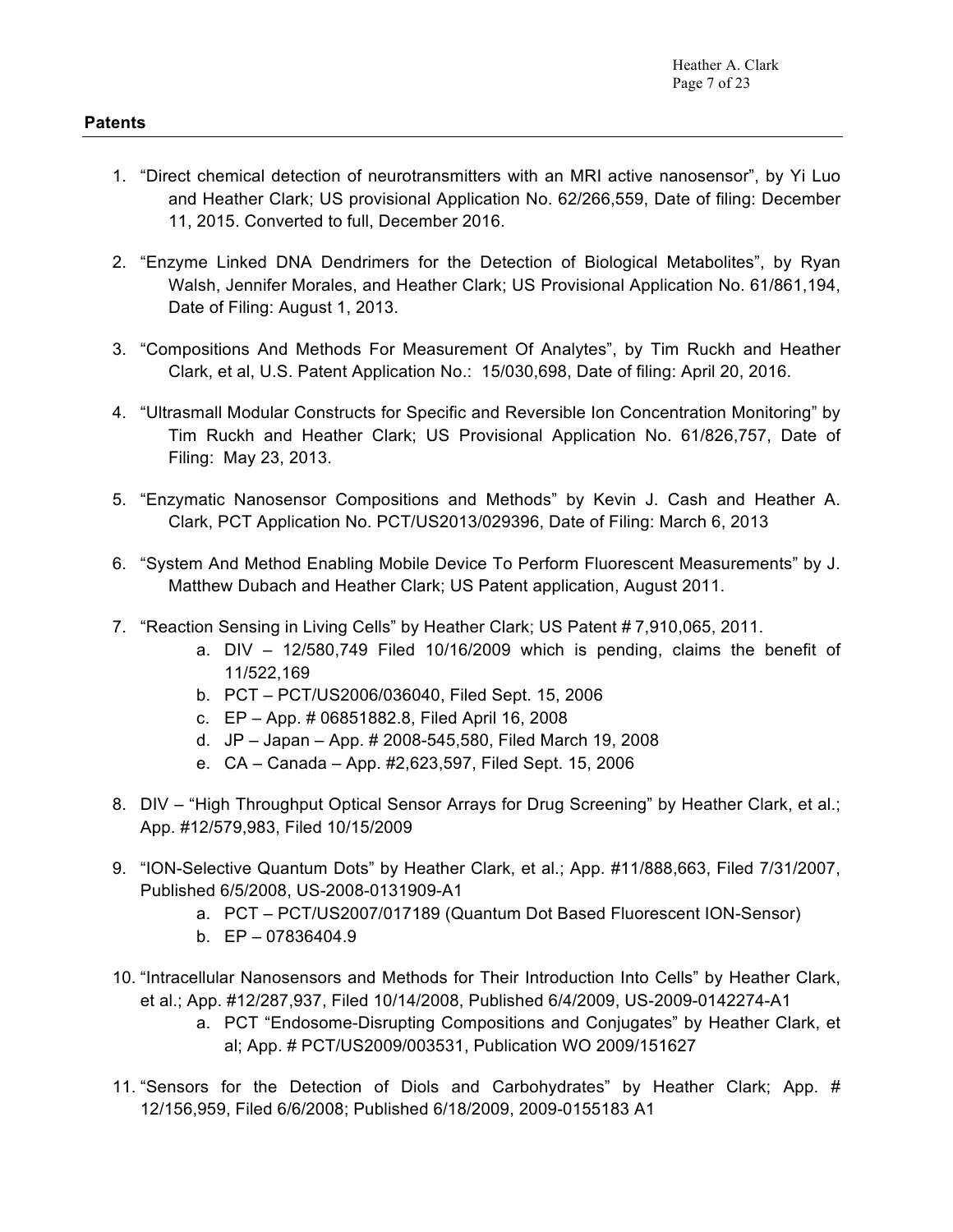- 2. "Enzyme Linked DNA Dendrimers for the Detection of Biological Metabolites", by Ryan Walsh, Jennifer Morales, and Heather Clark; US Provisional Application No. 61/861,194, Date of Filing: August 1, 2013.
- 3. "Compositions And Methods For Measurement Of Analytes", by Tim Ruckh and Heather Clark, et al, U.S. Patent Application No.: 15/030,698, Date of filing: April 20, 2016.
- 4. "Ultrasmall Modular Constructs for Specific and Reversible Ion Concentration Monitoring" by Tim Ruckh and Heather Clark; US Provisional Application No. 61/826,757, Date of Filing: May 23, 2013.
- 5. "Enzymatic Nanosensor Compositions and Methods" by Kevin J. Cash and Heather A. Clark, PCT Application No. PCT/US2013/029396, Date of Filing: March 6, 2013
- 6. "System And Method Enabling Mobile Device To Perform Fluorescent Measurements" by J. Matthew Dubach and Heather Clark; US Patent application, August 2011.
- 7. "Reaction Sensing in Living Cells" by Heather Clark; US Patent # 7,910,065, 2011.
	- a. DIV 12/580,749 Filed 10/16/2009 which is pending, claims the benefit of 11/522,169
	- b. PCT PCT/US2006/036040, Filed Sept. 15, 2006
	- c. EP App. # 06851882.8, Filed April 16, 2008
	- d. JP Japan App. # 2008-545,580, Filed March 19, 2008
	- e. CA Canada App. #2,623,597, Filed Sept. 15, 2006
- 8. DIV "High Throughput Optical Sensor Arrays for Drug Screening" by Heather Clark, et al.; App. #12/579,983, Filed 10/15/2009
- 9. "ION-Selective Quantum Dots" by Heather Clark, et al.; App. #11/888,663, Filed 7/31/2007, Published 6/5/2008, US-2008-0131909-A1
	- a. PCT PCT/US2007/017189 (Quantum Dot Based Fluorescent ION-Sensor)
	- b. EP 07836404.9
- 10. "Intracellular Nanosensors and Methods for Their Introduction Into Cells" by Heather Clark, et al.; App. #12/287,937, Filed 10/14/2008, Published 6/4/2009, US-2009-0142274-A1
	- a. PCT "Endosome-Disrupting Compositions and Conjugates" by Heather Clark, et al; App. # PCT/US2009/003531, Publication WO 2009/151627
- 11. "Sensors for the Detection of Diols and Carbohydrates" by Heather Clark; App. # 12/156,959, Filed 6/6/2008; Published 6/18/2009, 2009-0155183 A1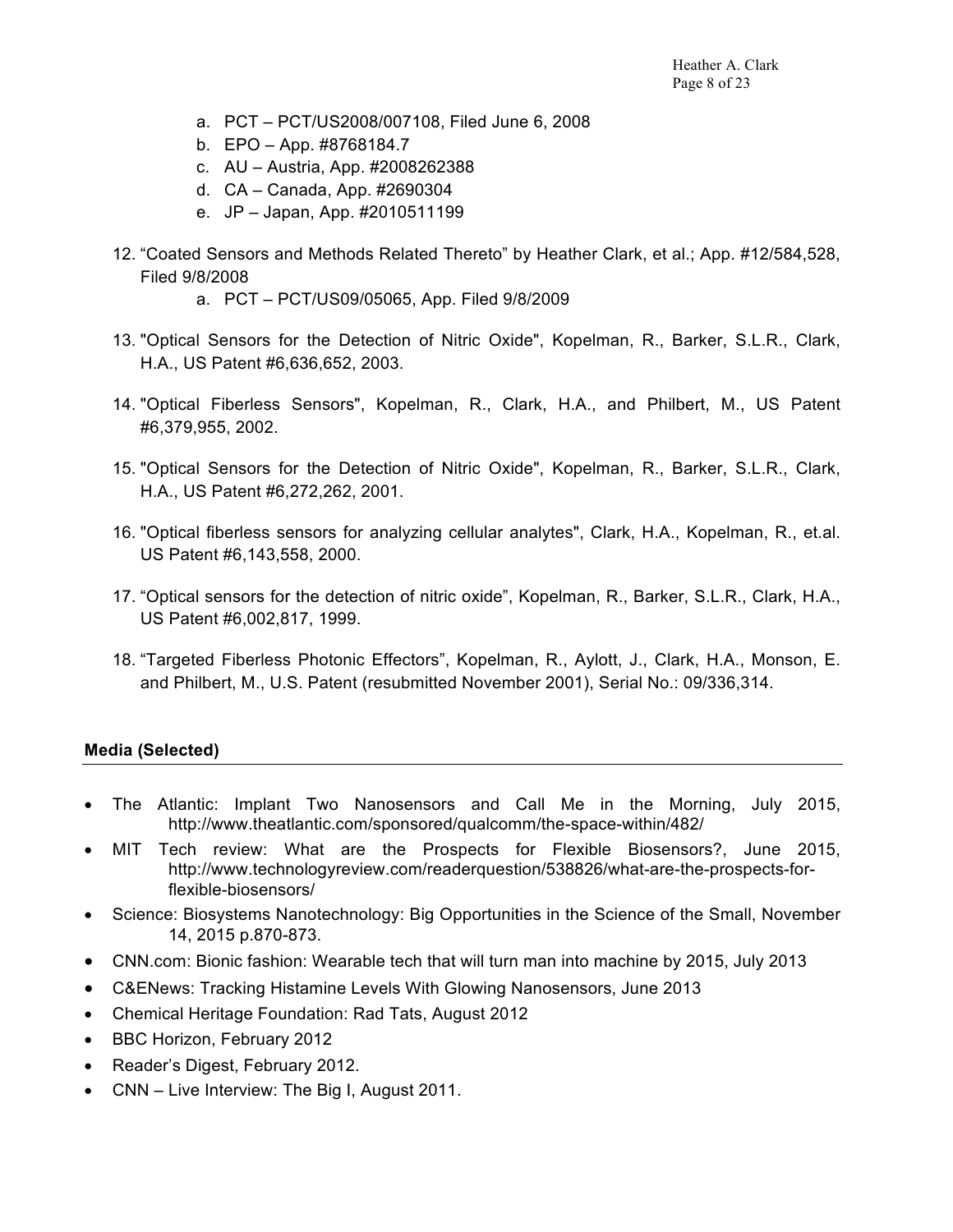- a. PCT PCT/US2008/007108, Filed June 6, 2008
- b. EPO App. #8768184.7
- c. AU Austria, App. #2008262388
- d. CA Canada, App. #2690304
- e. JP Japan, App. #2010511199
- 12. "Coated Sensors and Methods Related Thereto" by Heather Clark, et al.; App. #12/584,528, Filed 9/8/2008
	- a. PCT PCT/US09/05065, App. Filed 9/8/2009
- 13. "Optical Sensors for the Detection of Nitric Oxide", Kopelman, R., Barker, S.L.R., Clark, H.A., US Patent #6,636,652, 2003.
- 14. "Optical Fiberless Sensors", Kopelman, R., Clark, H.A., and Philbert, M., US Patent #6,379,955, 2002.
- 15. "Optical Sensors for the Detection of Nitric Oxide", Kopelman, R., Barker, S.L.R., Clark, H.A., US Patent #6,272,262, 2001.
- 16. "Optical fiberless sensors for analyzing cellular analytes", Clark, H.A., Kopelman, R., et.al. US Patent #6,143,558, 2000.
- 17. "Optical sensors for the detection of nitric oxide", Kopelman, R., Barker, S.L.R., Clark, H.A., US Patent #6,002,817, 1999.
- 18. "Targeted Fiberless Photonic Effectors", Kopelman, R., Aylott, J., Clark, H.A., Monson, E. and Philbert, M., U.S. Patent (resubmitted November 2001), Serial No.: 09/336,314.

## **Media (Selected)**

- The Atlantic: Implant Two Nanosensors and Call Me in the Morning, July 2015, http://www.theatlantic.com/sponsored/qualcomm/the-space-within/482/
- MIT Tech review: What are the Prospects for Flexible Biosensors?, June 2015, http://www.technologyreview.com/readerquestion/538826/what-are-the-prospects-forflexible-biosensors/
- Science: Biosystems Nanotechnology: Big Opportunities in the Science of the Small, November 14, 2015 p.870-873.
- CNN.com: Bionic fashion: Wearable tech that will turn man into machine by 2015, July 2013
- C&ENews: Tracking Histamine Levels With Glowing Nanosensors, June 2013
- Chemical Heritage Foundation: Rad Tats, August 2012
- BBC Horizon, February 2012
- Reader's Digest, February 2012.
- CNN Live Interview: The Big I, August 2011.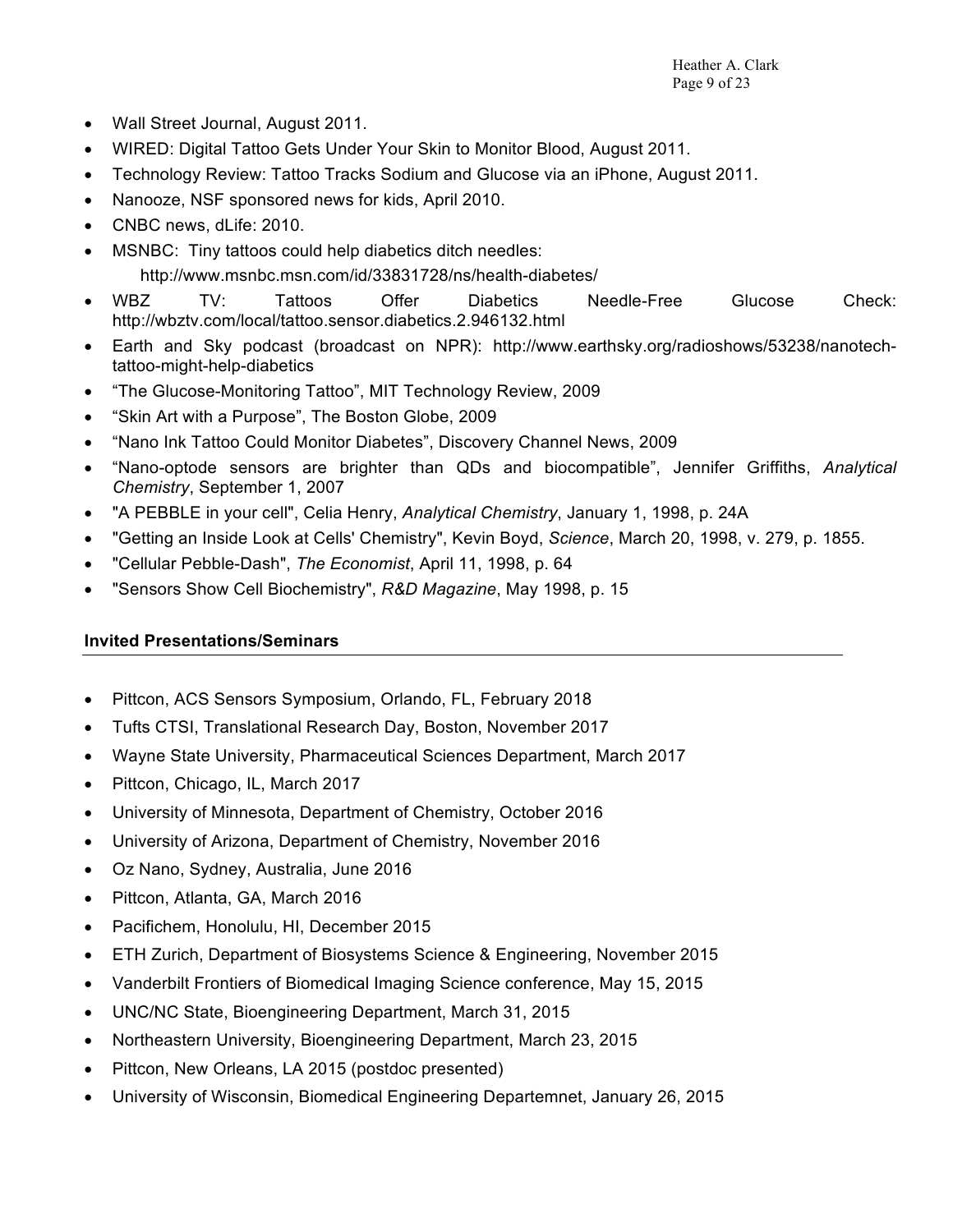- Wall Street Journal, August 2011.
- WIRED: Digital Tattoo Gets Under Your Skin to Monitor Blood, August 2011.
- Technology Review: Tattoo Tracks Sodium and Glucose via an iPhone, August 2011.
- Nanooze, NSF sponsored news for kids, April 2010.
- CNBC news, dLife: 2010.
- MSNBC: Tiny tattoos could help diabetics ditch needles: http://www.msnbc.msn.com/id/33831728/ns/health-diabetes/
- WBZ TV: Tattoos Offer Diabetics Needle-Free Glucose Check: http://wbztv.com/local/tattoo.sensor.diabetics.2.946132.html
- Earth and Sky podcast (broadcast on NPR): http://www.earthsky.org/radioshows/53238/nanotechtattoo-might-help-diabetics
- "The Glucose-Monitoring Tattoo", MIT Technology Review, 2009
- "Skin Art with a Purpose", The Boston Globe, 2009
- "Nano Ink Tattoo Could Monitor Diabetes", Discovery Channel News, 2009
- "Nano-optode sensors are brighter than QDs and biocompatible", Jennifer Griffiths, *Analytical Chemistry*, September 1, 2007
- "A PEBBLE in your cell", Celia Henry, *Analytical Chemistry*, January 1, 1998, p. 24A
- "Getting an Inside Look at Cells' Chemistry", Kevin Boyd, *Science*, March 20, 1998, v. 279, p. 1855.
- "Cellular Pebble-Dash", *The Economist*, April 11, 1998, p. 64
- "Sensors Show Cell Biochemistry", *R&D Magazine*, May 1998, p. 15

## **Invited Presentations/Seminars**

- Pittcon, ACS Sensors Symposium, Orlando, FL, February 2018
- Tufts CTSI, Translational Research Day, Boston, November 2017
- Wayne State University, Pharmaceutical Sciences Department, March 2017
- Pittcon, Chicago, IL, March 2017
- University of Minnesota, Department of Chemistry, October 2016
- University of Arizona, Department of Chemistry, November 2016
- Oz Nano, Sydney, Australia, June 2016
- Pittcon, Atlanta, GA, March 2016
- Pacifichem, Honolulu, HI, December 2015
- ETH Zurich, Department of Biosystems Science & Engineering, November 2015
- Vanderbilt Frontiers of Biomedical Imaging Science conference, May 15, 2015
- UNC/NC State, Bioengineering Department, March 31, 2015
- Northeastern University, Bioengineering Department, March 23, 2015
- Pittcon, New Orleans, LA 2015 (postdoc presented)
- University of Wisconsin, Biomedical Engineering Departemnet, January 26, 2015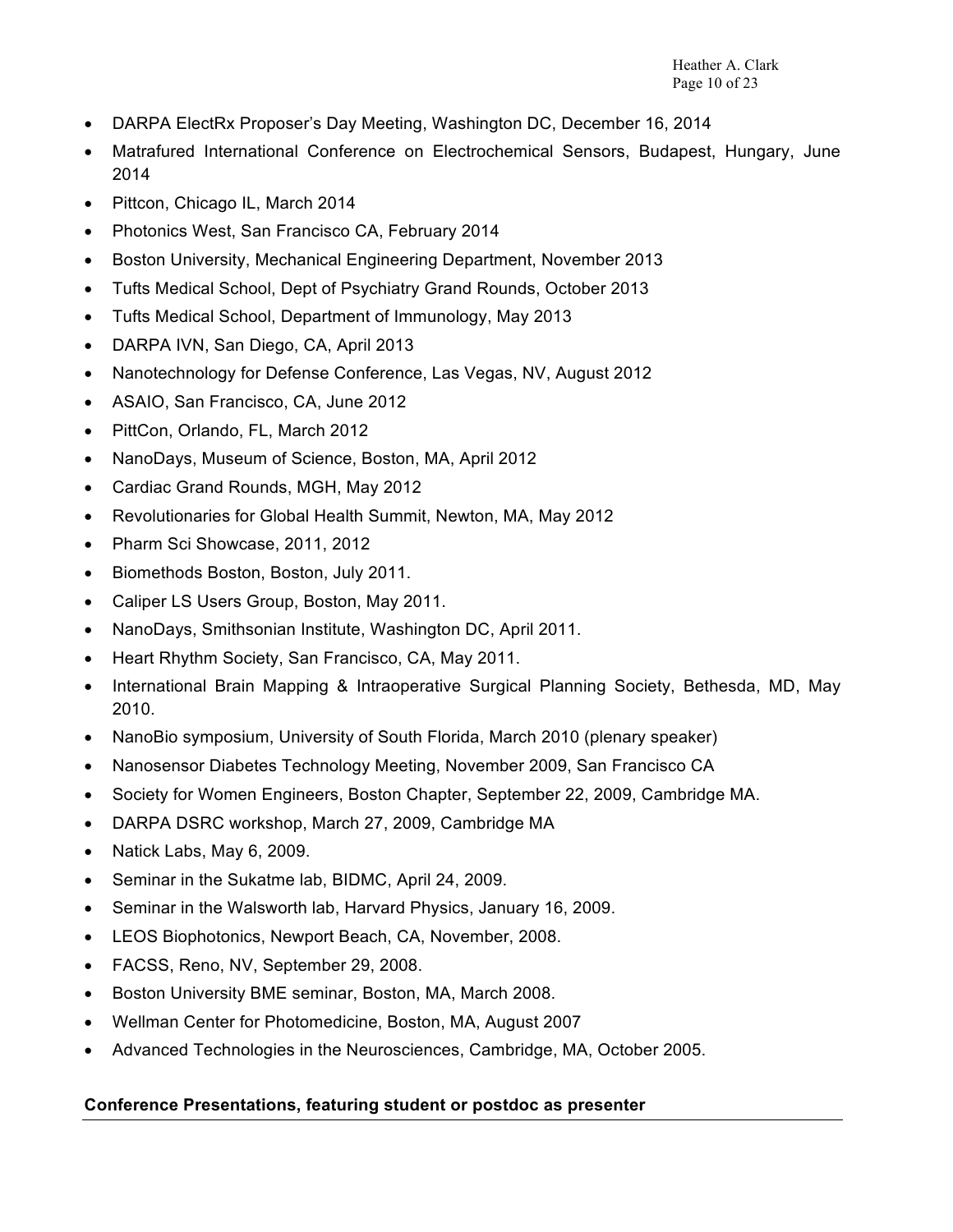- DARPA ElectRx Proposer's Day Meeting, Washington DC, December 16, 2014
- Matrafured International Conference on Electrochemical Sensors, Budapest, Hungary, June 2014
- Pittcon, Chicago IL, March 2014
- Photonics West, San Francisco CA, February 2014
- Boston University, Mechanical Engineering Department, November 2013
- Tufts Medical School, Dept of Psychiatry Grand Rounds, October 2013
- Tufts Medical School, Department of Immunology, May 2013
- DARPA IVN, San Diego, CA, April 2013
- Nanotechnology for Defense Conference, Las Vegas, NV, August 2012
- ASAIO, San Francisco, CA, June 2012
- PittCon, Orlando, FL, March 2012
- NanoDays, Museum of Science, Boston, MA, April 2012
- Cardiac Grand Rounds, MGH, May 2012
- Revolutionaries for Global Health Summit, Newton, MA, May 2012
- Pharm Sci Showcase, 2011, 2012
- Biomethods Boston, Boston, July 2011.
- Caliper LS Users Group, Boston, May 2011.
- NanoDays, Smithsonian Institute, Washington DC, April 2011.
- Heart Rhythm Society, San Francisco, CA, May 2011.
- International Brain Mapping & Intraoperative Surgical Planning Society, Bethesda, MD, May 2010.
- NanoBio symposium, University of South Florida, March 2010 (plenary speaker)
- Nanosensor Diabetes Technology Meeting, November 2009, San Francisco CA
- Society for Women Engineers, Boston Chapter, September 22, 2009, Cambridge MA.
- DARPA DSRC workshop, March 27, 2009, Cambridge MA
- Natick Labs, May 6, 2009.
- Seminar in the Sukatme lab, BIDMC, April 24, 2009.
- Seminar in the Walsworth lab, Harvard Physics, January 16, 2009.
- LEOS Biophotonics, Newport Beach, CA, November, 2008.
- FACSS, Reno, NV, September 29, 2008.
- Boston University BME seminar, Boston, MA, March 2008.
- Wellman Center for Photomedicine, Boston, MA, August 2007
- Advanced Technologies in the Neurosciences, Cambridge, MA, October 2005.

## **Conference Presentations, featuring student or postdoc as presenter**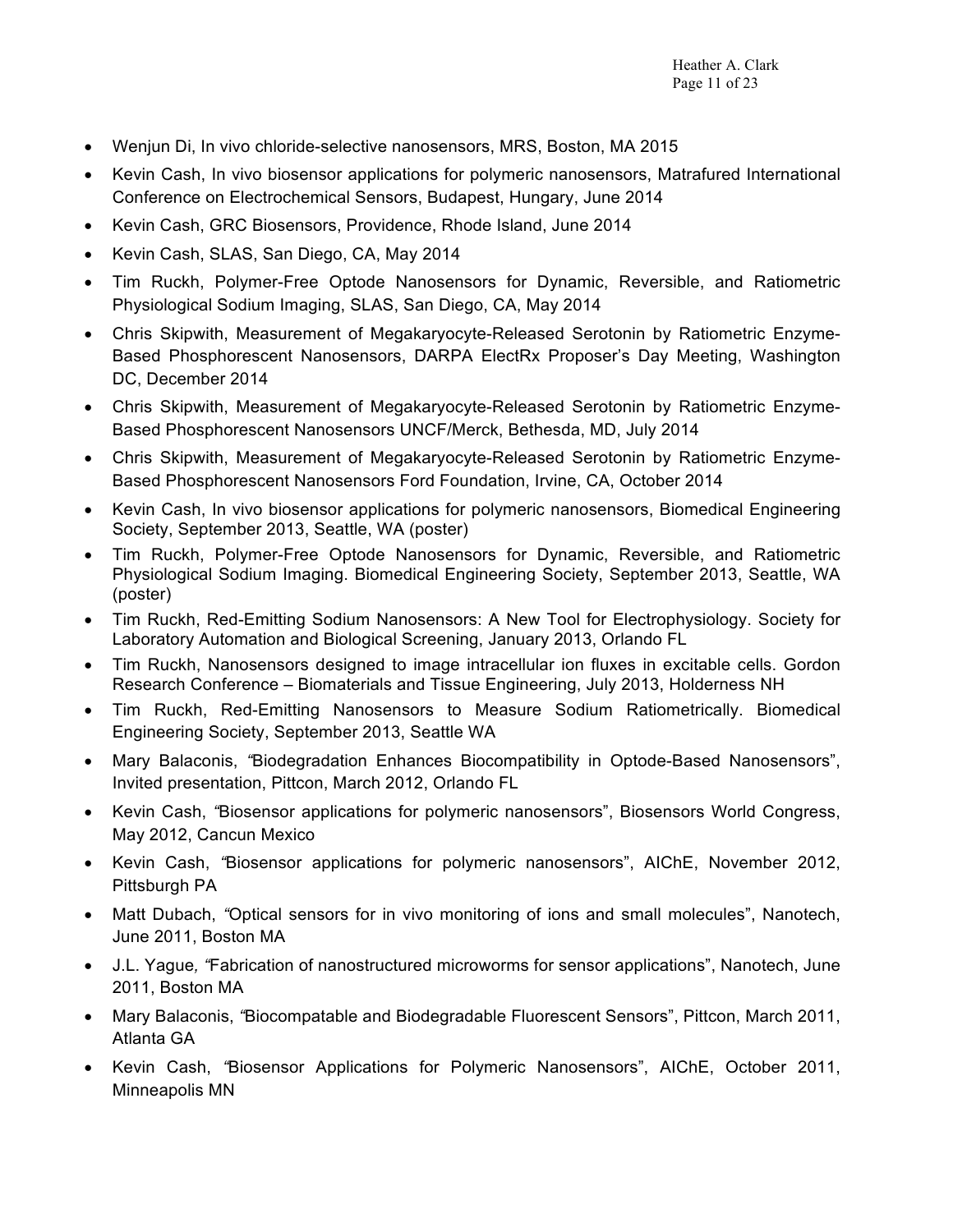- Wenjun Di, In vivo chloride-selective nanosensors, MRS, Boston, MA 2015
- Kevin Cash, In vivo biosensor applications for polymeric nanosensors, Matrafured International Conference on Electrochemical Sensors, Budapest, Hungary, June 2014
- Kevin Cash, GRC Biosensors, Providence, Rhode Island, June 2014
- Kevin Cash, SLAS, San Diego, CA, May 2014
- Tim Ruckh, Polymer-Free Optode Nanosensors for Dynamic, Reversible, and Ratiometric Physiological Sodium Imaging, SLAS, San Diego, CA, May 2014
- Chris Skipwith, Measurement of Megakaryocyte-Released Serotonin by Ratiometric Enzyme-Based Phosphorescent Nanosensors, DARPA ElectRx Proposer's Day Meeting, Washington DC, December 2014
- Chris Skipwith, Measurement of Megakaryocyte-Released Serotonin by Ratiometric Enzyme-Based Phosphorescent Nanosensors UNCF/Merck, Bethesda, MD, July 2014
- Chris Skipwith, Measurement of Megakaryocyte-Released Serotonin by Ratiometric Enzyme-Based Phosphorescent Nanosensors Ford Foundation, Irvine, CA, October 2014
- Kevin Cash, In vivo biosensor applications for polymeric nanosensors, Biomedical Engineering Society, September 2013, Seattle, WA (poster)
- Tim Ruckh, Polymer-Free Optode Nanosensors for Dynamic, Reversible, and Ratiometric Physiological Sodium Imaging. Biomedical Engineering Society, September 2013, Seattle, WA (poster)
- Tim Ruckh, Red-Emitting Sodium Nanosensors: A New Tool for Electrophysiology. Society for Laboratory Automation and Biological Screening, January 2013, Orlando FL
- Tim Ruckh, Nanosensors designed to image intracellular ion fluxes in excitable cells. Gordon Research Conference – Biomaterials and Tissue Engineering, July 2013, Holderness NH
- Tim Ruckh, Red-Emitting Nanosensors to Measure Sodium Ratiometrically. Biomedical Engineering Society, September 2013, Seattle WA
- Mary Balaconis, *"*Biodegradation Enhances Biocompatibility in Optode-Based Nanosensors", Invited presentation, Pittcon, March 2012, Orlando FL
- Kevin Cash, *"*Biosensor applications for polymeric nanosensors", Biosensors World Congress, May 2012, Cancun Mexico
- Kevin Cash, *"*Biosensor applications for polymeric nanosensors", AIChE, November 2012, Pittsburgh PA
- Matt Dubach, *"*Optical sensors for in vivo monitoring of ions and small molecules", Nanotech, June 2011, Boston MA
- J.L. Yague*, "*Fabrication of nanostructured microworms for sensor applications", Nanotech, June 2011, Boston MA
- Mary Balaconis, *"*Biocompatable and Biodegradable Fluorescent Sensors", Pittcon, March 2011, Atlanta GA
- Kevin Cash, *"*Biosensor Applications for Polymeric Nanosensors", AIChE, October 2011, Minneapolis MN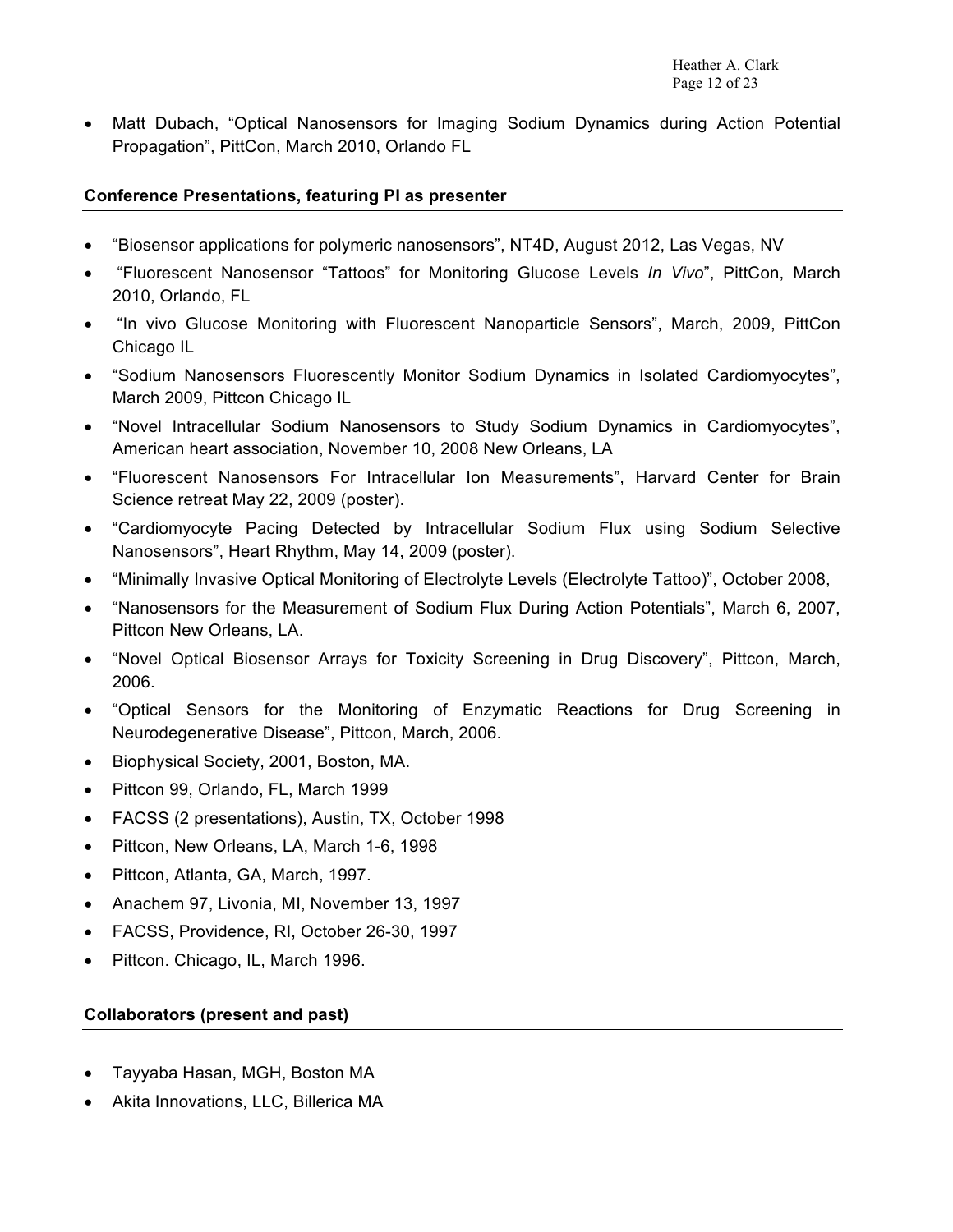• Matt Dubach, "Optical Nanosensors for Imaging Sodium Dynamics during Action Potential Propagation", PittCon, March 2010, Orlando FL

#### **Conference Presentations, featuring PI as presenter**

- "Biosensor applications for polymeric nanosensors", NT4D, August 2012, Las Vegas, NV
- "Fluorescent Nanosensor "Tattoos" for Monitoring Glucose Levels *In Vivo*", PittCon, March 2010, Orlando, FL
- "In vivo Glucose Monitoring with Fluorescent Nanoparticle Sensors", March, 2009, PittCon Chicago IL
- "Sodium Nanosensors Fluorescently Monitor Sodium Dynamics in Isolated Cardiomyocytes", March 2009, Pittcon Chicago IL
- "Novel Intracellular Sodium Nanosensors to Study Sodium Dynamics in Cardiomyocytes", American heart association, November 10, 2008 New Orleans, LA
- "Fluorescent Nanosensors For Intracellular Ion Measurements", Harvard Center for Brain Science retreat May 22, 2009 (poster).
- "Cardiomyocyte Pacing Detected by Intracellular Sodium Flux using Sodium Selective Nanosensors", Heart Rhythm, May 14, 2009 (poster).
- "Minimally Invasive Optical Monitoring of Electrolyte Levels (Electrolyte Tattoo)", October 2008,
- "Nanosensors for the Measurement of Sodium Flux During Action Potentials", March 6, 2007, Pittcon New Orleans, LA.
- "Novel Optical Biosensor Arrays for Toxicity Screening in Drug Discovery", Pittcon, March, 2006.
- "Optical Sensors for the Monitoring of Enzymatic Reactions for Drug Screening in Neurodegenerative Disease", Pittcon, March, 2006.
- Biophysical Society, 2001, Boston, MA.
- Pittcon 99, Orlando, FL, March 1999
- FACSS (2 presentations), Austin, TX, October 1998
- Pittcon, New Orleans, LA, March 1-6, 1998
- Pittcon, Atlanta, GA, March, 1997.
- Anachem 97, Livonia, MI, November 13, 1997
- FACSS, Providence, RI, October 26-30, 1997
- Pittcon. Chicago, IL, March 1996.

#### **Collaborators (present and past)**

- Tayyaba Hasan, MGH, Boston MA
- Akita Innovations, LLC, Billerica MA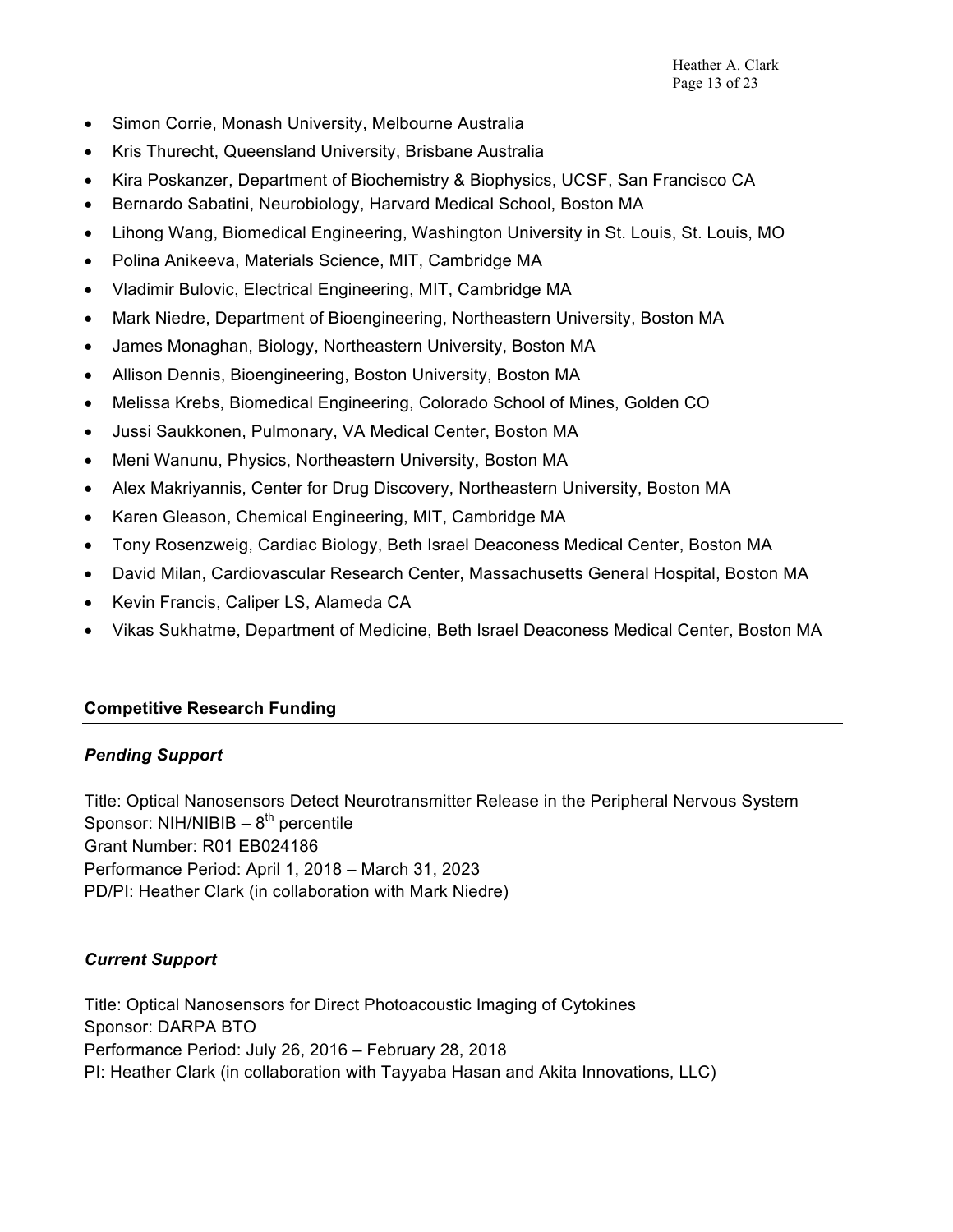- Simon Corrie, Monash University, Melbourne Australia
- Kris Thurecht, Queensland University, Brisbane Australia
- Kira Poskanzer, Department of Biochemistry & Biophysics, UCSF, San Francisco CA
- Bernardo Sabatini, Neurobiology, Harvard Medical School, Boston MA
- Lihong Wang, Biomedical Engineering, Washington University in St. Louis, St. Louis, MO
- Polina Anikeeva, Materials Science, MIT, Cambridge MA
- Vladimir Bulovic, Electrical Engineering, MIT, Cambridge MA
- Mark Niedre, Department of Bioengineering, Northeastern University, Boston MA
- James Monaghan, Biology, Northeastern University, Boston MA
- Allison Dennis, Bioengineering, Boston University, Boston MA
- Melissa Krebs, Biomedical Engineering, Colorado School of Mines, Golden CO
- Jussi Saukkonen, Pulmonary, VA Medical Center, Boston MA
- Meni Wanunu, Physics, Northeastern University, Boston MA
- Alex Makriyannis, Center for Drug Discovery, Northeastern University, Boston MA
- Karen Gleason, Chemical Engineering, MIT, Cambridge MA
- Tony Rosenzweig, Cardiac Biology, Beth Israel Deaconess Medical Center, Boston MA
- David Milan, Cardiovascular Research Center, Massachusetts General Hospital, Boston MA
- Kevin Francis, Caliper LS, Alameda CA
- Vikas Sukhatme, Department of Medicine, Beth Israel Deaconess Medical Center, Boston MA

#### **Competitive Research Funding**

#### *Pending Support*

Title: Optical Nanosensors Detect Neurotransmitter Release in the Peripheral Nervous System Sponsor:  $NIH/NIBIB - 8<sup>th</sup>$  percentile Grant Number: R01 EB024186 Performance Period: April 1, 2018 – March 31, 2023 PD/PI: Heather Clark (in collaboration with Mark Niedre)

## *Current Support*

Title: Optical Nanosensors for Direct Photoacoustic Imaging of Cytokines Sponsor: DARPA BTO Performance Period: July 26, 2016 – February 28, 2018 PI: Heather Clark (in collaboration with Tayyaba Hasan and Akita Innovations, LLC)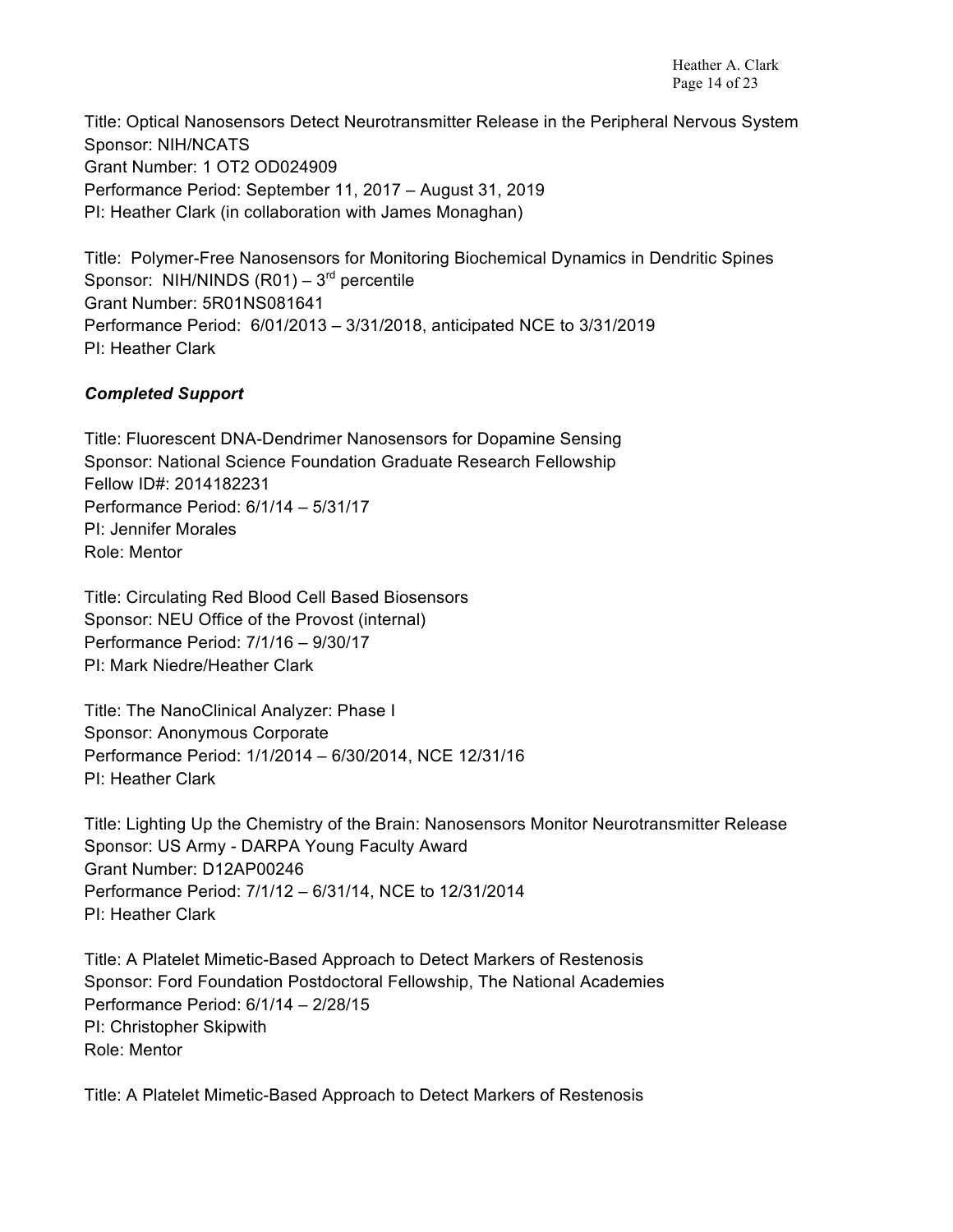Title: Optical Nanosensors Detect Neurotransmitter Release in the Peripheral Nervous System Sponsor: NIH/NCATS Grant Number: 1 OT2 OD024909 Performance Period: September 11, 2017 – August 31, 2019 PI: Heather Clark (in collaboration with James Monaghan)

Title: Polymer-Free Nanosensors for Monitoring Biochemical Dynamics in Dendritic Spines Sponsor: NIH/NINDS  $($ R01 $)$  – 3<sup>rd</sup> percentile Grant Number: 5R01NS081641 Performance Period: 6/01/2013 – 3/31/2018, anticipated NCE to 3/31/2019 PI: Heather Clark

## *Completed Support*

Title: Fluorescent DNA-Dendrimer Nanosensors for Dopamine Sensing Sponsor: National Science Foundation Graduate Research Fellowship Fellow ID#: 2014182231 Performance Period: 6/1/14 – 5/31/17 PI: Jennifer Morales Role: Mentor

Title: Circulating Red Blood Cell Based Biosensors Sponsor: NEU Office of the Provost (internal) Performance Period: 7/1/16 – 9/30/17 PI: Mark Niedre/Heather Clark

Title: The NanoClinical Analyzer: Phase I Sponsor: Anonymous Corporate Performance Period: 1/1/2014 – 6/30/2014, NCE 12/31/16 PI: Heather Clark

Title: Lighting Up the Chemistry of the Brain: Nanosensors Monitor Neurotransmitter Release Sponsor: US Army - DARPA Young Faculty Award Grant Number: D12AP00246 Performance Period: 7/1/12 – 6/31/14, NCE to 12/31/2014 PI: Heather Clark

Title: A Platelet Mimetic-Based Approach to Detect Markers of Restenosis Sponsor: Ford Foundation Postdoctoral Fellowship, The National Academies Performance Period: 6/1/14 – 2/28/15 PI: Christopher Skipwith Role: Mentor

Title: A Platelet Mimetic-Based Approach to Detect Markers of Restenosis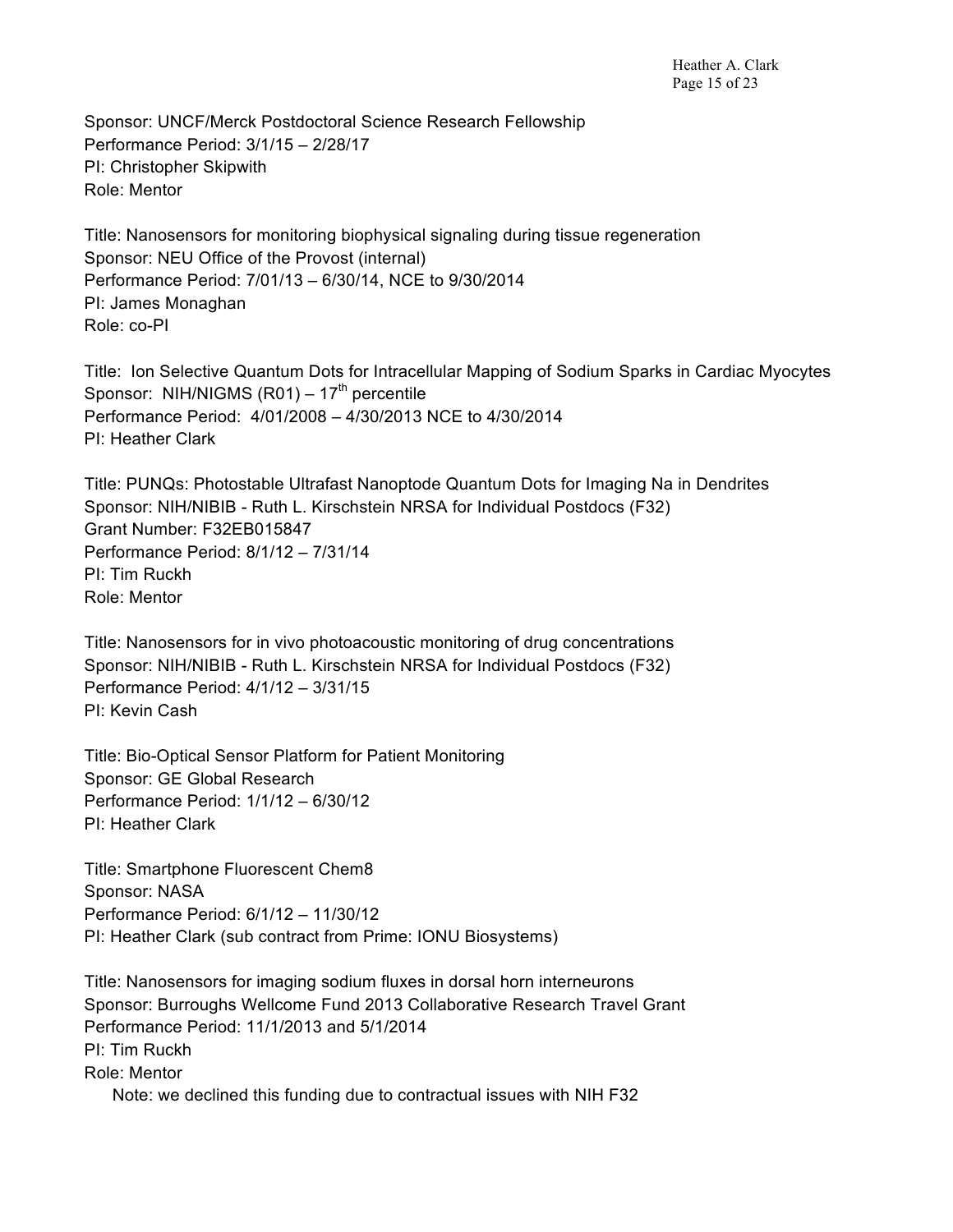Sponsor: UNCF/Merck Postdoctoral Science Research Fellowship Performance Period: 3/1/15 – 2/28/17 PI: Christopher Skipwith Role: Mentor

Title: Nanosensors for monitoring biophysical signaling during tissue regeneration Sponsor: NEU Office of the Provost (internal) Performance Period: 7/01/13 – 6/30/14, NCE to 9/30/2014 PI: James Monaghan Role: co-PI

Title: Ion Selective Quantum Dots for Intracellular Mapping of Sodium Sparks in Cardiac Myocytes Sponsor: NIH/NIGMS  $(R01) - 17<sup>th</sup>$  percentile Performance Period: 4/01/2008 – 4/30/2013 NCE to 4/30/2014 PI: Heather Clark

Title: PUNQs: Photostable Ultrafast Nanoptode Quantum Dots for Imaging Na in Dendrites Sponsor: NIH/NIBIB - Ruth L. Kirschstein NRSA for Individual Postdocs (F32) Grant Number: F32EB015847 Performance Period: 8/1/12 – 7/31/14 PI: Tim Ruckh Role: Mentor

Title: Nanosensors for in vivo photoacoustic monitoring of drug concentrations Sponsor: NIH/NIBIB - Ruth L. Kirschstein NRSA for Individual Postdocs (F32) Performance Period: 4/1/12 – 3/31/15 PI: Kevin Cash

Title: Bio-Optical Sensor Platform for Patient Monitoring Sponsor: GE Global Research Performance Period: 1/1/12 – 6/30/12 PI: Heather Clark

Title: Smartphone Fluorescent Chem8 Sponsor: NASA Performance Period: 6/1/12 – 11/30/12 PI: Heather Clark (sub contract from Prime: IONU Biosystems)

Title: Nanosensors for imaging sodium fluxes in dorsal horn interneurons Sponsor: Burroughs Wellcome Fund 2013 Collaborative Research Travel Grant Performance Period: 11/1/2013 and 5/1/2014 PI: Tim Ruckh Role: Mentor Note: we declined this funding due to contractual issues with NIH F32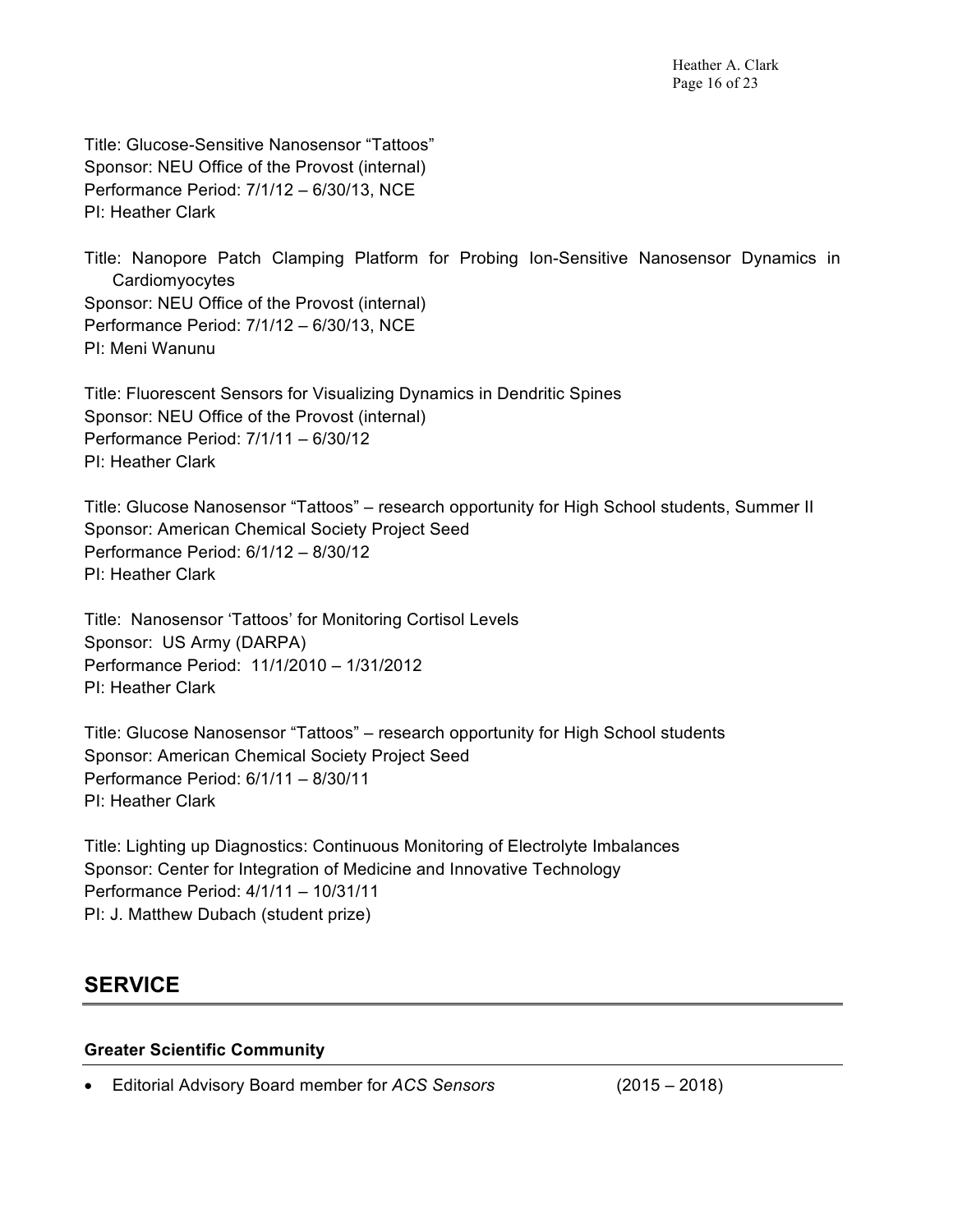Title: Glucose-Sensitive Nanosensor "Tattoos" Sponsor: NEU Office of the Provost (internal) Performance Period: 7/1/12 – 6/30/13, NCE PI: Heather Clark

Title: Nanopore Patch Clamping Platform for Probing Ion-Sensitive Nanosensor Dynamics in Cardiomyocytes Sponsor: NEU Office of the Provost (internal) Performance Period: 7/1/12 – 6/30/13, NCE PI: Meni Wanunu

Title: Fluorescent Sensors for Visualizing Dynamics in Dendritic Spines Sponsor: NEU Office of the Provost (internal) Performance Period: 7/1/11 – 6/30/12 PI: Heather Clark

Title: Glucose Nanosensor "Tattoos" – research opportunity for High School students, Summer II Sponsor: American Chemical Society Project Seed Performance Period: 6/1/12 – 8/30/12 PI: Heather Clark

Title: Nanosensor 'Tattoos' for Monitoring Cortisol Levels Sponsor: US Army (DARPA) Performance Period: 11/1/2010 – 1/31/2012 PI: Heather Clark

Title: Glucose Nanosensor "Tattoos" – research opportunity for High School students Sponsor: American Chemical Society Project Seed Performance Period: 6/1/11 – 8/30/11 PI: Heather Clark

Title: Lighting up Diagnostics: Continuous Monitoring of Electrolyte Imbalances Sponsor: Center for Integration of Medicine and Innovative Technology Performance Period: 4/1/11 – 10/31/11 PI: J. Matthew Dubach (student prize)

# **SERVICE**

#### **Greater Scientific Community**

• Editorial Advisory Board member for *ACS Sensors* (2015 – 2018)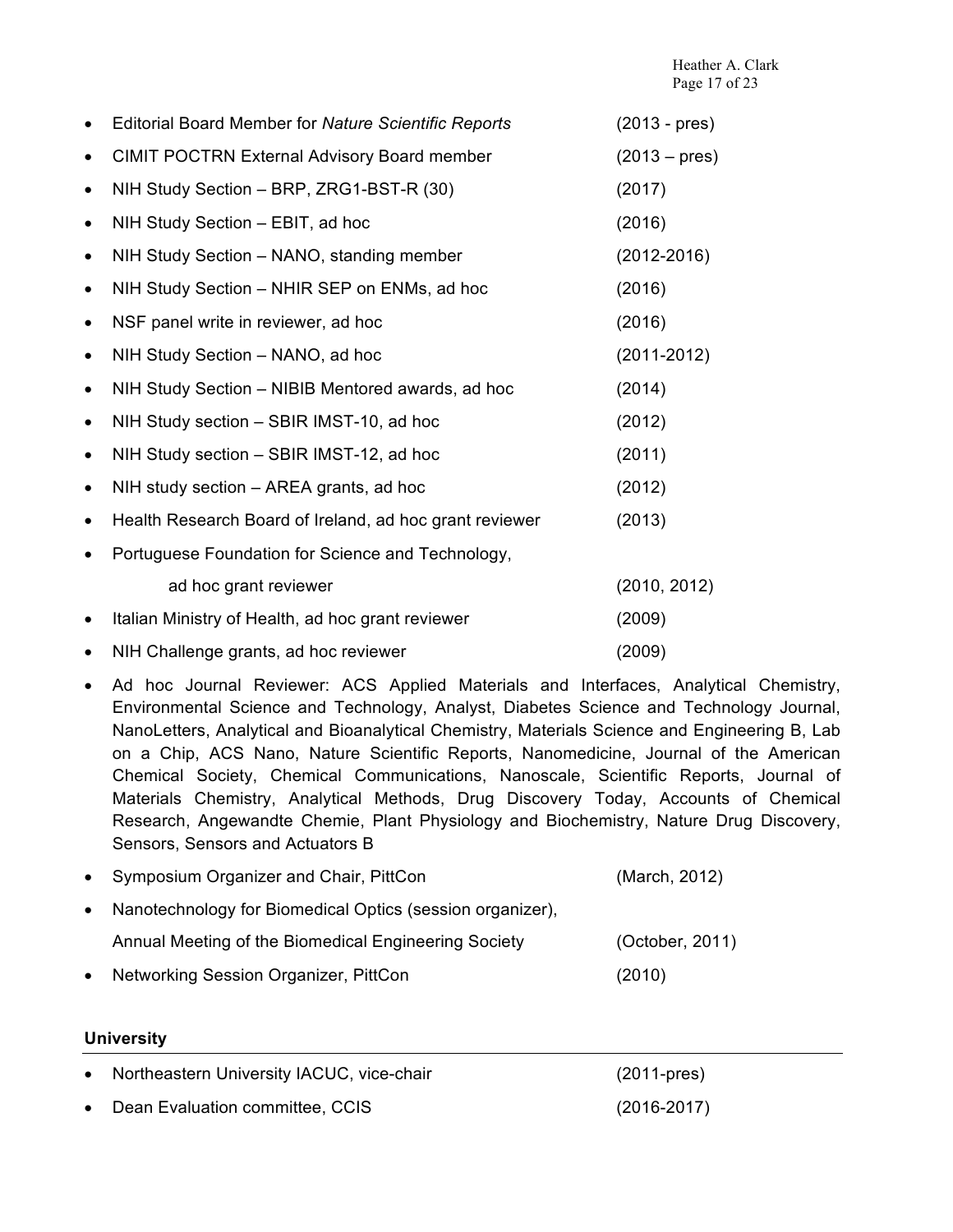|           | <b>Editorial Board Member for Nature Scientific Reports</b> | $(2013 - pres)$ |
|-----------|-------------------------------------------------------------|-----------------|
| ٠         | <b>CIMIT POCTRN External Advisory Board member</b>          | $(2013 - pres)$ |
| $\bullet$ | NIH Study Section - BRP, ZRG1-BST-R (30)                    | (2017)          |
| $\bullet$ | NIH Study Section - EBIT, ad hoc                            | (2016)          |
| ٠         | NIH Study Section - NANO, standing member                   | $(2012 - 2016)$ |
| $\bullet$ | NIH Study Section - NHIR SEP on ENMs, ad hoc                | (2016)          |
| $\bullet$ | NSF panel write in reviewer, ad hoc                         | (2016)          |
| $\bullet$ | NIH Study Section - NANO, ad hoc                            | $(2011 - 2012)$ |
| $\bullet$ | NIH Study Section - NIBIB Mentored awards, ad hoc           | (2014)          |
| ٠         | NIH Study section - SBIR IMST-10, ad hoc                    | (2012)          |
| ٠         | NIH Study section - SBIR IMST-12, ad hoc                    | (2011)          |
| ٠         | NIH study section – AREA grants, ad hoc                     | (2012)          |
| ٠         | Health Research Board of Ireland, ad hoc grant reviewer     | (2013)          |
|           | Portuguese Foundation for Science and Technology,           |                 |
|           | ad hoc grant reviewer                                       | (2010, 2012)    |
|           | Italian Ministry of Health, ad hoc grant reviewer           | (2009)          |
|           | NIH Challenge grants, ad hoc reviewer                       | (2009)          |

• Ad hoc Journal Reviewer: ACS Applied Materials and Interfaces, Analytical Chemistry, Environmental Science and Technology, Analyst, Diabetes Science and Technology Journal, NanoLetters, Analytical and Bioanalytical Chemistry, Materials Science and Engineering B, Lab on a Chip, ACS Nano, Nature Scientific Reports, Nanomedicine, Journal of the American Chemical Society, Chemical Communications, Nanoscale, Scientific Reports, Journal of Materials Chemistry, Analytical Methods, Drug Discovery Today, Accounts of Chemical Research, Angewandte Chemie, Plant Physiology and Biochemistry, Nature Drug Discovery, Sensors, Sensors and Actuators B

| • Symposium Organizer and Chair, PittCon                    | (March, 2012)   |
|-------------------------------------------------------------|-----------------|
| • Nanotechnology for Biomedical Optics (session organizer), |                 |
| Annual Meeting of the Biomedical Engineering Society        | (October, 2011) |
| • Networking Session Organizer, PittCon                     | (2010)          |

#### **University**

| • Northeastern University IACUC, vice-chair | $(2011$ -pres)  |
|---------------------------------------------|-----------------|
| • Dean Evaluation committee, CCIS           | $(2016 - 2017)$ |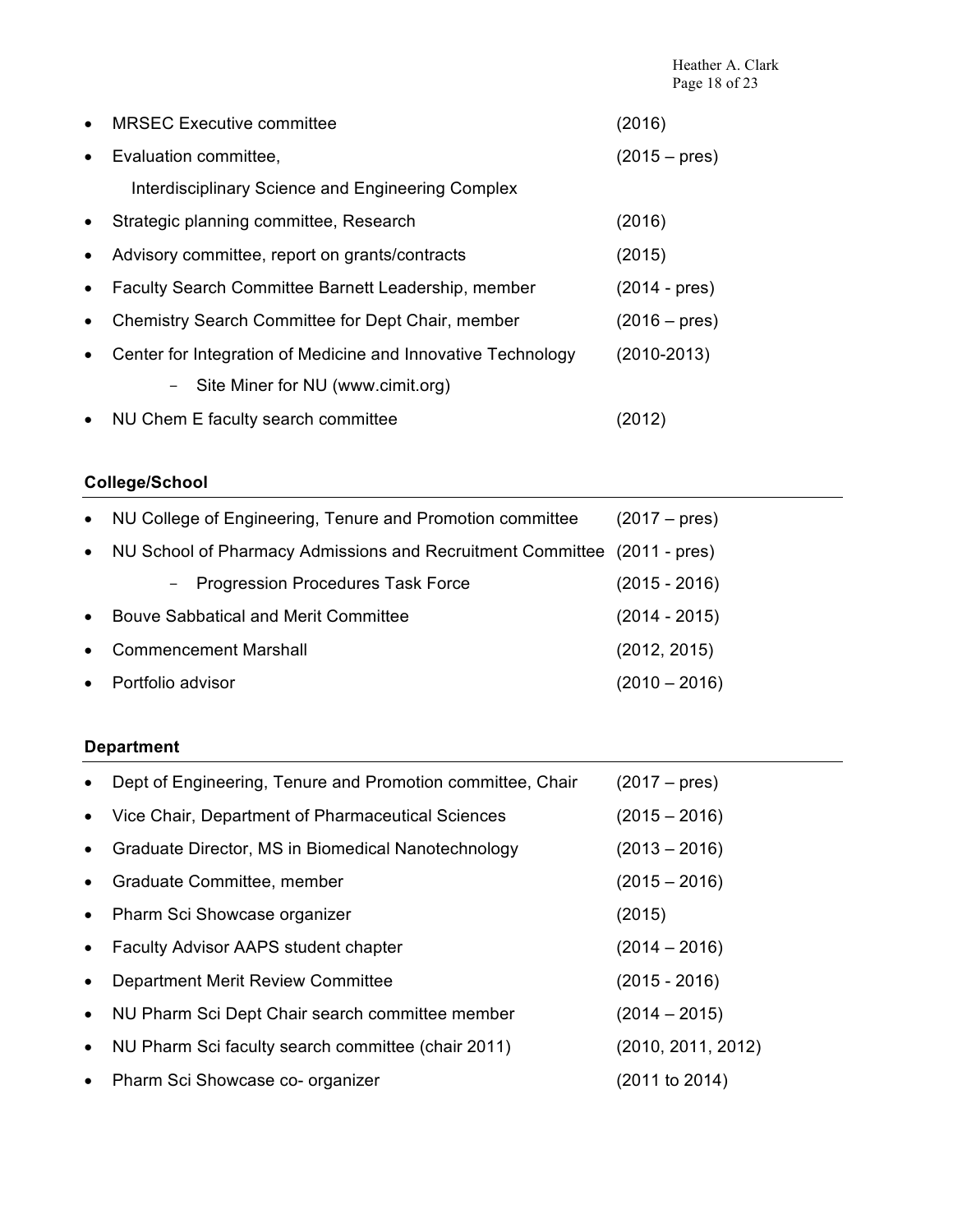|           | <b>MRSEC Executive committee</b>                             | (2016)                 |
|-----------|--------------------------------------------------------------|------------------------|
| $\bullet$ | Evaluation committee,                                        | $(2015 - \text{pres})$ |
|           | Interdisciplinary Science and Engineering Complex            |                        |
| $\bullet$ | Strategic planning committee, Research                       | (2016)                 |
| $\bullet$ | Advisory committee, report on grants/contracts               | (2015)                 |
| $\bullet$ | Faculty Search Committee Barnett Leadership, member          | $(2014 - \text{pres})$ |
|           | Chemistry Search Committee for Dept Chair, member            | $(2016 - \text{pres})$ |
| $\bullet$ | Center for Integration of Medicine and Innovative Technology | $(2010 - 2013)$        |
|           | - Site Miner for NU (www.cimit.org)                          |                        |
| $\bullet$ | NU Chem E faculty search committee                           | (2012)                 |

## **College/School**

| $\bullet$ | NU College of Engineering, Tenure and Promotion committee                | $(2017 - \text{pres})$ |
|-----------|--------------------------------------------------------------------------|------------------------|
| $\bullet$ | NU School of Pharmacy Admissions and Recruitment Committee (2011 - pres) |                        |
|           | - Progression Procedures Task Force                                      | $(2015 - 2016)$        |
| $\bullet$ | Bouve Sabbatical and Merit Committee                                     | $(2014 - 2015)$        |
| $\bullet$ | <b>Commencement Marshall</b>                                             | (2012, 2015)           |
| $\bullet$ | Portfolio advisor                                                        | (2010 – 2016)          |

## **Department**

|           | Dept of Engineering, Tenure and Promotion committee, Chair | $(2017 - \text{pres})$ |
|-----------|------------------------------------------------------------|------------------------|
|           | Vice Chair, Department of Pharmaceutical Sciences          | $(2015 - 2016)$        |
| $\bullet$ | Graduate Director, MS in Biomedical Nanotechnology         | $(2013 - 2016)$        |
| $\bullet$ | Graduate Committee, member                                 | $(2015 - 2016)$        |
| $\bullet$ | Pharm Sci Showcase organizer                               | (2015)                 |
| $\bullet$ | <b>Faculty Advisor AAPS student chapter</b>                | $(2014 - 2016)$        |
|           | <b>Department Merit Review Committee</b>                   | $(2015 - 2016)$        |
| $\bullet$ | NU Pharm Sci Dept Chair search committee member            | $(2014 - 2015)$        |
| $\bullet$ | NU Pharm Sci faculty search committee (chair 2011)         | (2010, 2011, 2012)     |
| $\bullet$ | Pharm Sci Showcase co- organizer                           | (2011 to 2014)         |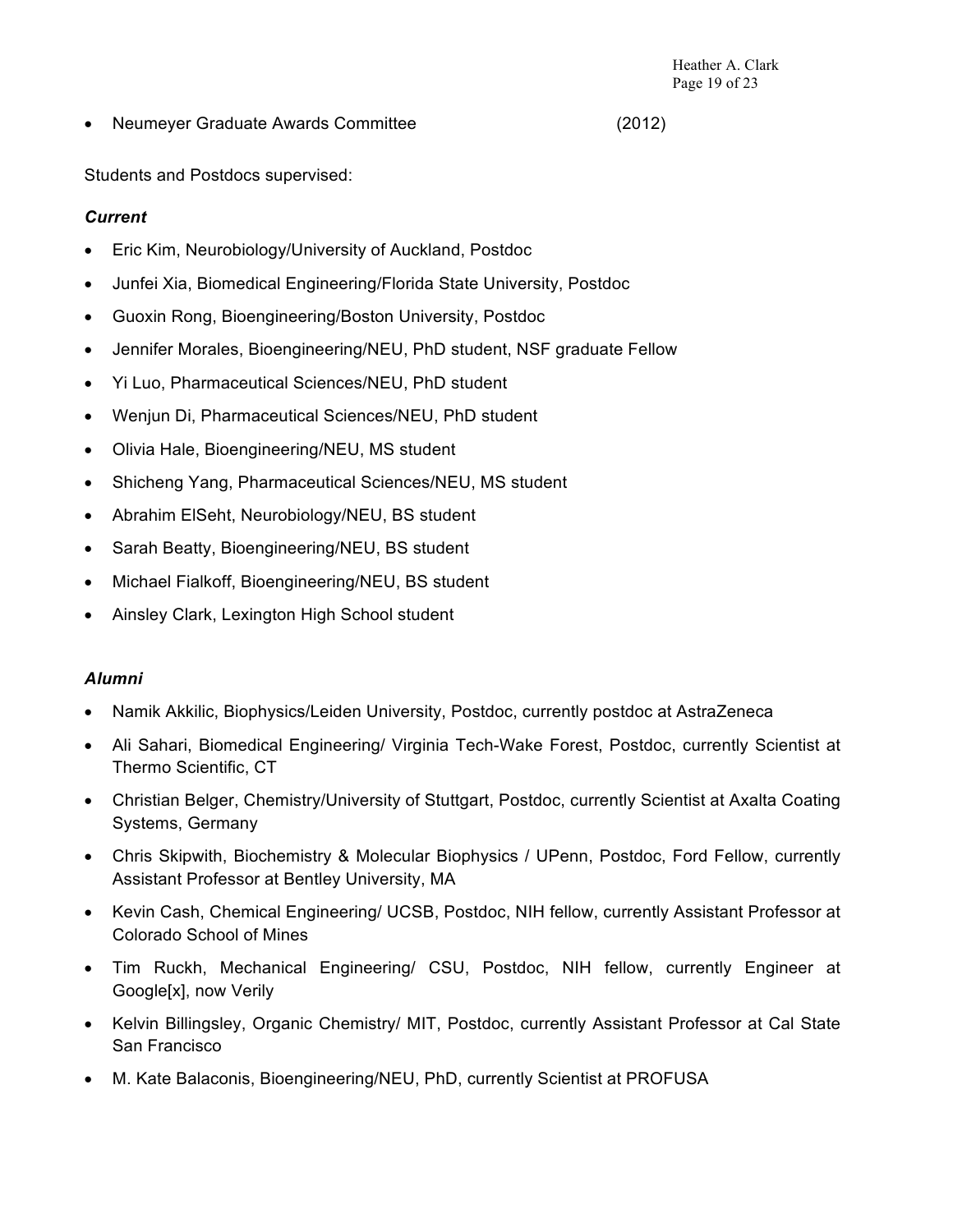• Neumeyer Graduate Awards Committee (2012)

Students and Postdocs supervised:

### *Current*

- Eric Kim, Neurobiology/University of Auckland, Postdoc
- Junfei Xia, Biomedical Engineering/Florida State University, Postdoc
- Guoxin Rong, Bioengineering/Boston University, Postdoc
- Jennifer Morales, Bioengineering/NEU, PhD student, NSF graduate Fellow
- Yi Luo, Pharmaceutical Sciences/NEU, PhD student
- Wenjun Di, Pharmaceutical Sciences/NEU, PhD student
- Olivia Hale, Bioengineering/NEU, MS student
- Shicheng Yang, Pharmaceutical Sciences/NEU, MS student
- Abrahim ElSeht, Neurobiology/NEU, BS student
- Sarah Beatty, Bioengineering/NEU, BS student
- Michael Fialkoff, Bioengineering/NEU, BS student
- Ainsley Clark, Lexington High School student

#### *Alumni*

- Namik Akkilic, Biophysics/Leiden University, Postdoc, currently postdoc at AstraZeneca
- Ali Sahari, Biomedical Engineering/ Virginia Tech-Wake Forest, Postdoc, currently Scientist at Thermo Scientific, CT
- Christian Belger, Chemistry/University of Stuttgart, Postdoc, currently Scientist at Axalta Coating Systems, Germany
- Chris Skipwith, Biochemistry & Molecular Biophysics / UPenn, Postdoc, Ford Fellow, currently Assistant Professor at Bentley University, MA
- Kevin Cash, Chemical Engineering/ UCSB, Postdoc, NIH fellow, currently Assistant Professor at Colorado School of Mines
- Tim Ruckh, Mechanical Engineering/ CSU, Postdoc, NIH fellow, currently Engineer at Google[x], now Verily
- Kelvin Billingsley, Organic Chemistry/ MIT, Postdoc, currently Assistant Professor at Cal State San Francisco
- M. Kate Balaconis, Bioengineering/NEU, PhD, currently Scientist at PROFUSA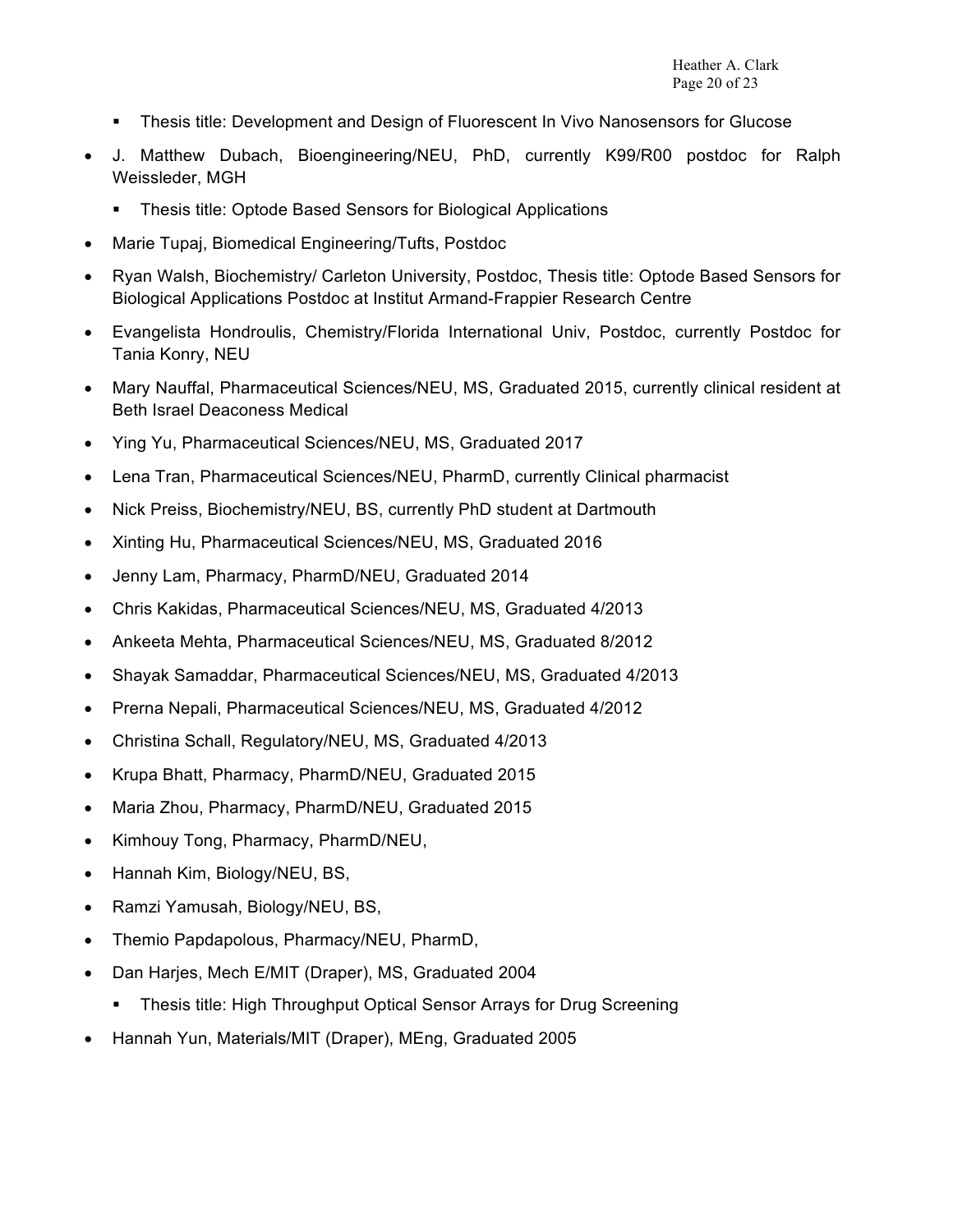- § Thesis title: Development and Design of Fluorescent In Vivo Nanosensors for Glucose
- J. Matthew Dubach, Bioengineering/NEU, PhD, currently K99/R00 postdoc for Ralph Weissleder, MGH
	- Thesis title: Optode Based Sensors for Biological Applications
- Marie Tupaj, Biomedical Engineering/Tufts, Postdoc
- Ryan Walsh, Biochemistry/ Carleton University, Postdoc, Thesis title: Optode Based Sensors for Biological Applications Postdoc at Institut Armand-Frappier Research Centre
- Evangelista Hondroulis, Chemistry/Florida International Univ, Postdoc, currently Postdoc for Tania Konry, NEU
- Mary Nauffal, Pharmaceutical Sciences/NEU, MS, Graduated 2015, currently clinical resident at Beth Israel Deaconess Medical
- Ying Yu, Pharmaceutical Sciences/NEU, MS, Graduated 2017
- Lena Tran, Pharmaceutical Sciences/NEU, PharmD, currently Clinical pharmacist
- Nick Preiss, Biochemistry/NEU, BS, currently PhD student at Dartmouth
- Xinting Hu, Pharmaceutical Sciences/NEU, MS, Graduated 2016
- Jenny Lam, Pharmacy, PharmD/NEU, Graduated 2014
- Chris Kakidas, Pharmaceutical Sciences/NEU, MS, Graduated 4/2013
- Ankeeta Mehta, Pharmaceutical Sciences/NEU, MS, Graduated 8/2012
- Shayak Samaddar, Pharmaceutical Sciences/NEU, MS, Graduated 4/2013
- Prerna Nepali, Pharmaceutical Sciences/NEU, MS, Graduated 4/2012
- Christina Schall, Regulatory/NEU, MS, Graduated 4/2013
- Krupa Bhatt, Pharmacy, PharmD/NEU, Graduated 2015
- Maria Zhou, Pharmacy, PharmD/NEU, Graduated 2015
- Kimhouy Tong, Pharmacy, PharmD/NEU,
- Hannah Kim, Biology/NEU, BS,
- Ramzi Yamusah, Biology/NEU, BS,
- Themio Papdapolous, Pharmacy/NEU, PharmD,
- Dan Harjes, Mech E/MIT (Draper), MS, Graduated 2004
	- Thesis title: High Throughput Optical Sensor Arrays for Drug Screening
- Hannah Yun, Materials/MIT (Draper), MEng, Graduated 2005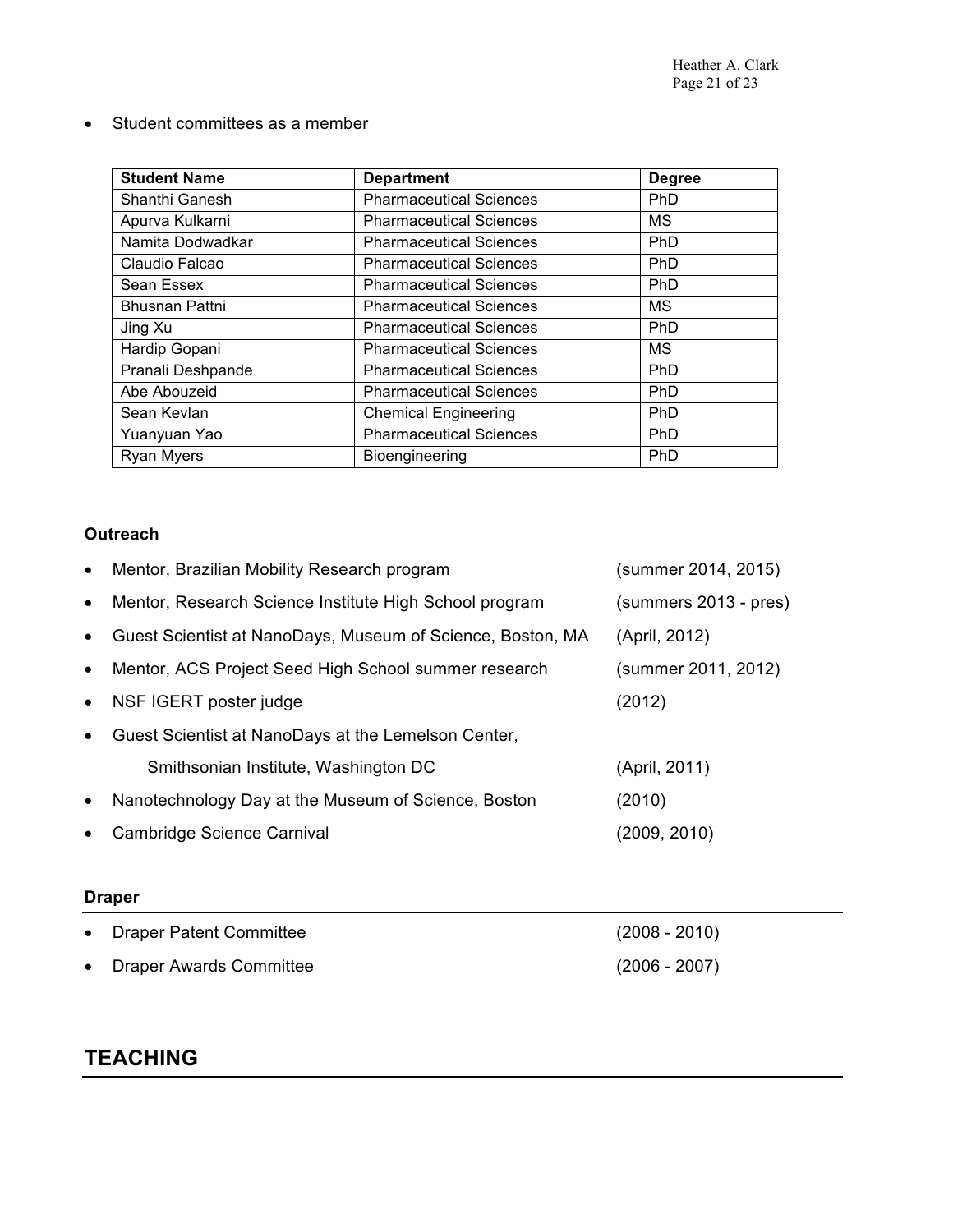• Student committees as a member

| <b>Student Name</b>   | <b>Department</b>              | <b>Degree</b> |
|-----------------------|--------------------------------|---------------|
| Shanthi Ganesh        | <b>Pharmaceutical Sciences</b> | <b>PhD</b>    |
| Apurva Kulkarni       | <b>Pharmaceutical Sciences</b> | <b>MS</b>     |
| Namita Dodwadkar      | <b>Pharmaceutical Sciences</b> | <b>PhD</b>    |
| Claudio Falcao        | <b>Pharmaceutical Sciences</b> | <b>PhD</b>    |
| Sean Essex            | <b>Pharmaceutical Sciences</b> | <b>PhD</b>    |
| <b>Bhusnan Pattni</b> | <b>Pharmaceutical Sciences</b> | <b>MS</b>     |
| Jing Xu               | <b>Pharmaceutical Sciences</b> | PhD           |
| Hardip Gopani         | <b>Pharmaceutical Sciences</b> | <b>MS</b>     |
| Pranali Deshpande     | <b>Pharmaceutical Sciences</b> | <b>PhD</b>    |
| Abe Abouzeid          | <b>Pharmaceutical Sciences</b> | <b>PhD</b>    |
| Sean Kevlan           | <b>Chemical Engineering</b>    | PhD           |
| Yuanyuan Yao          | <b>Pharmaceutical Sciences</b> | <b>PhD</b>    |
| <b>Ryan Myers</b>     | Bioengineering                 | PhD           |

## **Outreach**

| $\bullet$ | Mentor, Brazilian Mobility Research program                | (summer 2014, 2015)   |
|-----------|------------------------------------------------------------|-----------------------|
| $\bullet$ | Mentor, Research Science Institute High School program     | (summers 2013 - pres) |
| $\bullet$ | Guest Scientist at NanoDays, Museum of Science, Boston, MA | (April, 2012)         |
| $\bullet$ | Mentor, ACS Project Seed High School summer research       | (summer 2011, 2012)   |
| $\bullet$ | NSF IGERT poster judge                                     | (2012)                |
| $\bullet$ | Guest Scientist at NanoDays at the Lemelson Center,        |                       |
|           | Smithsonian Institute, Washington DC                       | (April, 2011)         |
| $\bullet$ | Nanotechnology Day at the Museum of Science, Boston        | (2010)                |
| $\bullet$ | Cambridge Science Carnival                                 | (2009, 2010)          |
|           |                                                            |                       |
|           | <b>Draper</b>                                              |                       |
| $\bullet$ | <b>Draper Patent Committee</b>                             | $(2008 - 2010)$       |
| $\bullet$ | <b>Draper Awards Committee</b>                             | $(2006 - 2007)$       |

# **TEACHING**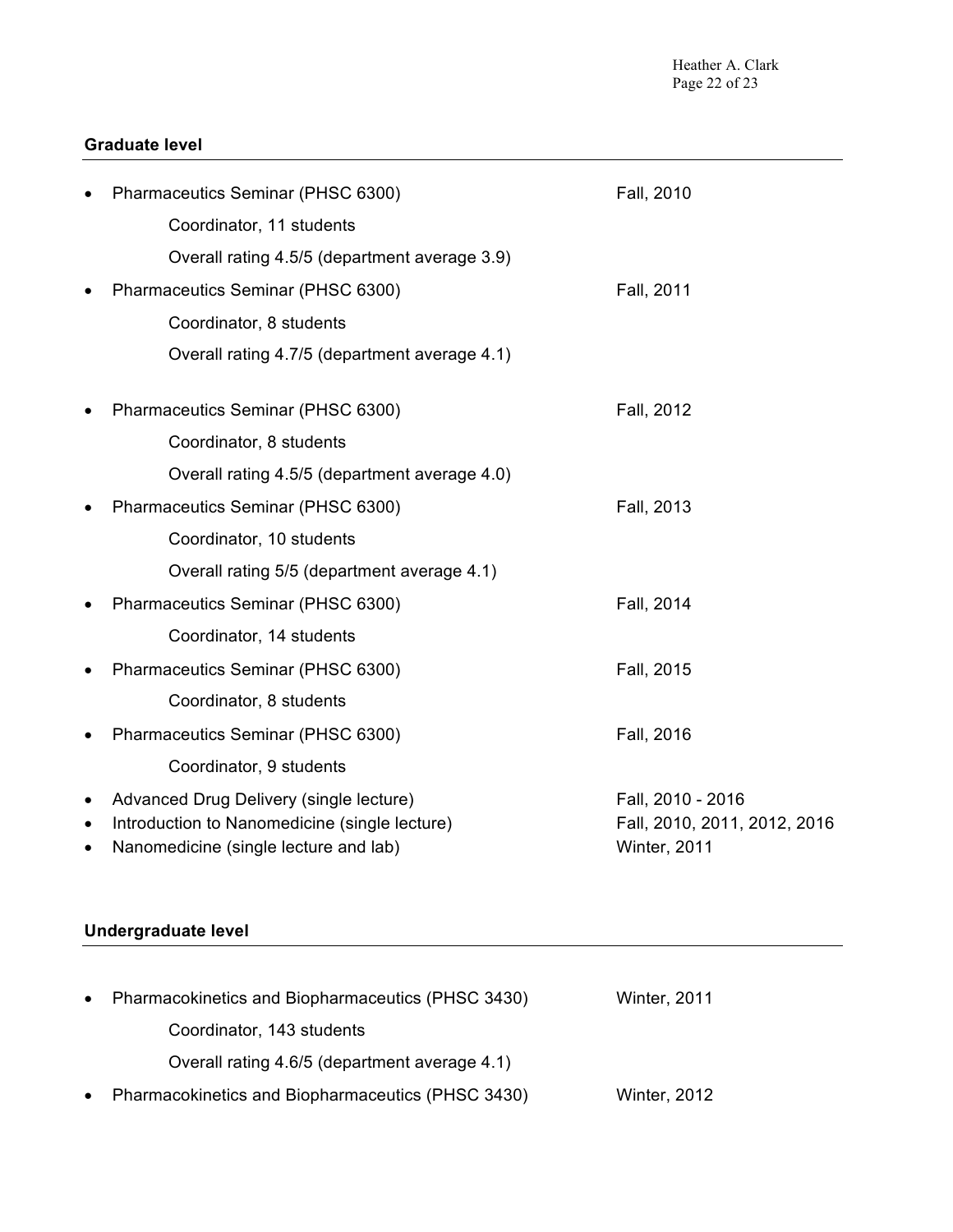## **Graduate level**

|           | Pharmaceutics Seminar (PHSC 6300)             | Fall, 2010                   |
|-----------|-----------------------------------------------|------------------------------|
|           | Coordinator, 11 students                      |                              |
|           | Overall rating 4.5/5 (department average 3.9) |                              |
|           | Pharmaceutics Seminar (PHSC 6300)             | Fall, 2011                   |
|           | Coordinator, 8 students                       |                              |
|           | Overall rating 4.7/5 (department average 4.1) |                              |
|           | Pharmaceutics Seminar (PHSC 6300)             | Fall, 2012                   |
|           | Coordinator, 8 students                       |                              |
|           | Overall rating 4.5/5 (department average 4.0) |                              |
|           | Pharmaceutics Seminar (PHSC 6300)             | Fall, 2013                   |
|           | Coordinator, 10 students                      |                              |
|           | Overall rating 5/5 (department average 4.1)   |                              |
|           | Pharmaceutics Seminar (PHSC 6300)             | Fall, 2014                   |
|           | Coordinator, 14 students                      |                              |
| $\bullet$ | Pharmaceutics Seminar (PHSC 6300)             | Fall, 2015                   |
|           | Coordinator, 8 students                       |                              |
|           | Pharmaceutics Seminar (PHSC 6300)             | Fall, 2016                   |
|           | Coordinator, 9 students                       |                              |
| $\bullet$ | Advanced Drug Delivery (single lecture)       | Fall, 2010 - 2016            |
| $\bullet$ | Introduction to Nanomedicine (single lecture) | Fall, 2010, 2011, 2012, 2016 |
| $\bullet$ | Nanomedicine (single lecture and lab)         | Winter, 2011                 |

## **Undergraduate level**

| $\bullet$ | Pharmacokinetics and Biopharmaceutics (PHSC 3430) | <b>Winter, 2011</b> |  |
|-----------|---------------------------------------------------|---------------------|--|
|           | Coordinator, 143 students                         |                     |  |
|           | Overall rating 4.6/5 (department average 4.1)     |                     |  |
| $\bullet$ | Pharmacokinetics and Biopharmaceutics (PHSC 3430) | <b>Winter, 2012</b> |  |